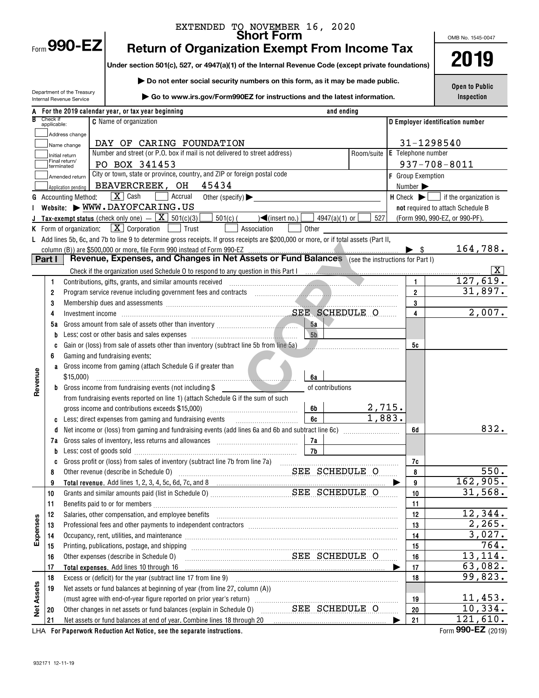|                   |                         |                                                    | EXTENDED TO NOVEMBER 16, 2020<br>Short Form                                                                                                                                                                                       |                                |                           | OMB No. 1545-0047                                                     |
|-------------------|-------------------------|----------------------------------------------------|-----------------------------------------------------------------------------------------------------------------------------------------------------------------------------------------------------------------------------------|--------------------------------|---------------------------|-----------------------------------------------------------------------|
|                   |                         | Form 990-EZ                                        | <b>Return of Organization Exempt From Income Tax</b>                                                                                                                                                                              |                                |                           |                                                                       |
|                   |                         |                                                    | Under section 501(c), 527, or 4947(a)(1) of the Internal Revenue Code (except private foundations)                                                                                                                                |                                | 2019                      |                                                                       |
|                   |                         |                                                    |                                                                                                                                                                                                                                   |                                |                           |                                                                       |
|                   |                         | Department of the Treasury                         | Do not enter social security numbers on this form, as it may be made public.                                                                                                                                                      | <b>Open to Public</b>          |                           |                                                                       |
|                   |                         | Internal Revenue Service                           | Go to www.irs.gov/Form990EZ for instructions and the latest information.                                                                                                                                                          |                                |                           | Inspection                                                            |
|                   |                         |                                                    | A For the 2019 calendar year, or tax year beginning                                                                                                                                                                               | and ending                     |                           |                                                                       |
|                   | Check if<br>applicable: |                                                    | <b>C</b> Name of organization                                                                                                                                                                                                     |                                |                           | D Employer identification number                                      |
|                   |                         | Address change                                     |                                                                                                                                                                                                                                   |                                |                           |                                                                       |
|                   |                         | Name change                                        | DAY OF CARING FOUNDATION                                                                                                                                                                                                          |                                |                           | 31-1298540                                                            |
|                   |                         | Initial return<br>Final return/                    | Number and street (or P.O. box if mail is not delivered to street address)                                                                                                                                                        | Room/suite                     | <b>E</b> Telephone number |                                                                       |
|                   |                         | terminated                                         | PO BOX 341453<br>City or town, state or province, country, and ZIP or foreign postal code                                                                                                                                         |                                |                           | $937 - 708 - 8011$                                                    |
|                   |                         | Amended return                                     | BEAVERCREEK, OH<br>45434                                                                                                                                                                                                          |                                | <b>F</b> Group Exemption  |                                                                       |
|                   |                         | Application pending<br><b>G</b> Accounting Method: | $\boxed{\mathbf{X}}$ Cash<br>Accrual<br>Other (specify) $\blacktriangleright$                                                                                                                                                     |                                | Number >                  | $H$ Check $\blacktriangleright$ $\blacksquare$ if the organization is |
|                   |                         |                                                    | Website: WWW.DAYOFCARING.US                                                                                                                                                                                                       |                                |                           | not required to attach Schedule B                                     |
|                   |                         |                                                    | <b>Tax-exempt status</b> (check only one) $ \boxed{\mathbf{X}}$ 501(c)(3)<br>$501(c)$ (<br>$\sqrt{\frac{2}{\text{ (insert no.)}}}$                                                                                                | 4947(a)(1) or $\lfloor$<br>527 |                           | (Form 990, 990-EZ, or 990-PF).                                        |
|                   |                         | K Form of organization:                            | $\boxed{\mathbf{X}}$ Corporation $\boxed{\phantom{0}}$ Trust<br>Association<br>Other                                                                                                                                              |                                |                           |                                                                       |
|                   |                         |                                                    | L Add lines 5b, 6c, and 7b to line 9 to determine gross receipts. If gross receipts are \$200,000 or more, or if total assets (Part II,                                                                                           |                                |                           |                                                                       |
|                   |                         |                                                    |                                                                                                                                                                                                                                   |                                |                           | 164,788.                                                              |
|                   | Part I                  |                                                    |                                                                                                                                                                                                                                   |                                |                           |                                                                       |
|                   |                         |                                                    | Check if the organization used Schedule 0 to respond to any question in this Part I manufactured and contain the organization used Schedule 0 to respond to any question in this Part I                                           |                                |                           | ΙX.                                                                   |
|                   | 1                       |                                                    | Contributions, gifts, grants, and similar amounts received entity contract and account of the contributions,                                                                                                                      |                                | $\mathbf{1}$              | 127,619.                                                              |
|                   | 2                       |                                                    |                                                                                                                                                                                                                                   |                                | $\mathbf{2}$              | 31,897.                                                               |
|                   | 3                       |                                                    | Membership dues and assessments <i>manufacture contained as a contained as a contained assessments</i>                                                                                                                            |                                | 3                         |                                                                       |
|                   | 4                       |                                                    |                                                                                                                                                                                                                                   |                                | 4                         | 2,007.                                                                |
|                   | 5а                      |                                                    | 5a                                                                                                                                                                                                                                |                                |                           |                                                                       |
|                   |                         |                                                    | 5 <sub>b</sub>                                                                                                                                                                                                                    |                                |                           |                                                                       |
|                   | C<br>6                  |                                                    | Gain or (loss) from sale of assets other than inventory (subtract line 5b from line 5a)<br>Gaming and fundraising events:                                                                                                         |                                | 5c                        |                                                                       |
|                   |                         |                                                    | a Gross income from gaming (attach Schedule G if greater than                                                                                                                                                                     |                                |                           |                                                                       |
| Revenue           |                         | \$15,000                                           | 6а                                                                                                                                                                                                                                |                                |                           |                                                                       |
|                   |                         |                                                    | <b>b</b> Gross income from fundraising events (not including $$$                                                                                                                                                                  | of contributions               |                           |                                                                       |
|                   |                         |                                                    | from fundraising events reported on line 1) (attach Schedule G if the sum of such                                                                                                                                                 |                                |                           |                                                                       |
|                   |                         |                                                    | gross income and contributions exceeds \$15,000)<br>6b                                                                                                                                                                            | 2,715.                         |                           |                                                                       |
|                   | C                       |                                                    | Less: direct expenses from gaming and fundraising events<br>6c                                                                                                                                                                    | 1,883.                         |                           |                                                                       |
|                   | d                       |                                                    |                                                                                                                                                                                                                                   |                                | 6d                        | 832.                                                                  |
|                   |                         |                                                    | 7a                                                                                                                                                                                                                                |                                |                           |                                                                       |
|                   |                         |                                                    |                                                                                                                                                                                                                                   |                                |                           |                                                                       |
|                   | C<br>8                  |                                                    | Other revenue (describe in Schedule 0) Material Material SEE SCHEDULE O                                                                                                                                                           |                                | 7c<br>8                   | 550.                                                                  |
|                   | 9                       |                                                    |                                                                                                                                                                                                                                   |                                | 9                         | 162,905.                                                              |
|                   | 10                      |                                                    |                                                                                                                                                                                                                                   |                                | 10                        | 31,568.                                                               |
|                   | 11                      |                                                    |                                                                                                                                                                                                                                   |                                | 11                        |                                                                       |
|                   | 12                      |                                                    | Salaries, other compensation, and employee benefits [11] manufactures and the compensation and the compensation, and employee benefits [11] manufactures and the compensation and the competition of the competition of the co    |                                | 12                        | 12,344.                                                               |
|                   | 13                      |                                                    | Professional fees and other payments to independent contractors [11] [11] professional fees and other payments to independent contractors [11] [11] professional fees and other payments to independent contractors [11] $\alpha$ |                                | 13                        | 2,265.                                                                |
| Expenses          | 14                      |                                                    | Occupancy, rent, utilities, and maintenance manufactured and accuracy of the manufactured and maintenance manufactured and maintenance manufactured and maintenance manufactured and manufactured and manufactured and manufac    |                                | 14                        | 3,027.                                                                |
|                   | 15                      |                                                    |                                                                                                                                                                                                                                   |                                | 15                        | 764.                                                                  |
|                   | 16                      |                                                    | SEE SCHEDULE O<br>Other expenses (describe in Schedule O)                                                                                                                                                                         |                                | 16                        | 13,114.                                                               |
|                   | 17                      |                                                    | Total expenses. Add lines 10 through 16                                                                                                                                                                                           |                                | 17<br>▶                   | 63,082.                                                               |
|                   | 18                      |                                                    |                                                                                                                                                                                                                                   |                                | 18                        | 99,823.                                                               |
| <b>Net Assets</b> | 19                      |                                                    | Net assets or fund balances at beginning of year (from line 27, column (A))                                                                                                                                                       |                                |                           | 11,453.                                                               |
|                   | 20                      |                                                    | Other changes in net assets or fund balances (explain in Schedule 0) SEE SCHEDULE O                                                                                                                                               |                                | 19<br>20                  | 10,334.                                                               |
|                   | 21                      |                                                    |                                                                                                                                                                                                                                   |                                | 21                        | $\overline{1}21,610.$                                                 |
|                   |                         |                                                    | LHA For Paperwork Reduction Act Notice, see the separate instructions.                                                                                                                                                            |                                |                           | Form 990-EZ (2019)                                                    |

**Form 990-EZ** (2019)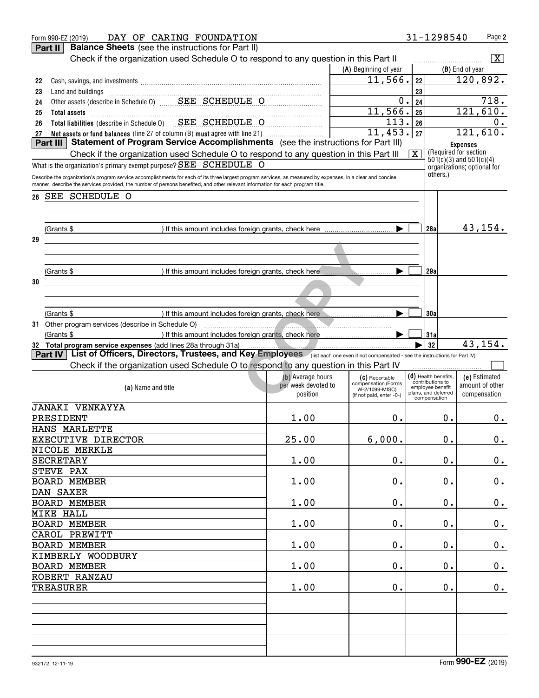|    | DAY OF CARING FOUNDATION<br>Form 990-EZ (2019)                                                                                                                                                                                                                                                 |                     |                                            | 31-1298540                           | Page 2                                                |
|----|------------------------------------------------------------------------------------------------------------------------------------------------------------------------------------------------------------------------------------------------------------------------------------------------|---------------------|--------------------------------------------|--------------------------------------|-------------------------------------------------------|
|    | Part II<br><b>Balance Sheets</b> (see the instructions for Part II)                                                                                                                                                                                                                            |                     |                                            |                                      |                                                       |
|    | Check if the organization used Schedule O to respond to any question in this Part II                                                                                                                                                                                                           |                     |                                            |                                      | $\overline{\mathbf{X}}$                               |
|    |                                                                                                                                                                                                                                                                                                |                     | (A) Beginning of year                      |                                      | (B) End of year                                       |
| 22 |                                                                                                                                                                                                                                                                                                |                     | 11, 566.                                   | 22                                   | 120,892.                                              |
| 23 |                                                                                                                                                                                                                                                                                                |                     |                                            | 23                                   |                                                       |
| 24 | Land and buildings<br>Other assets (describe in Schedule 0)<br>CHEDULE O                                                                                                                                                                                                                       |                     | $\mathbf 0$ .                              | 24                                   | 718.                                                  |
| 25 | Total assets <b>communication Total</b> assets                                                                                                                                                                                                                                                 |                     | 11,566.                                    | 25                                   | 121,610.                                              |
| 26 | Total liabilities (describe in Schedule 0) SEE SCHEDULE O                                                                                                                                                                                                                                      |                     | $\overline{113}$ .                         | 26                                   | 0.                                                    |
|    | 27 Net assets or fund balances (line 27 of column (B) must agree with line 21) <b>Conserver Marson Part III</b>   453<br><b>Part III</b>   Statement of Program Service Accomplishments (see the instructions for Part III)                                                                    |                     | 11,453. 27                                 |                                      | 121,610.                                              |
|    |                                                                                                                                                                                                                                                                                                |                     |                                            |                                      | <b>Expenses</b>                                       |
|    | Check if the organization used Schedule O to respond to any question in this Part III                                                                                                                                                                                                          |                     |                                            | $\overline{\mathbf{X}}$              | (Required for section)<br>$601(c)(3)$ and $501(c)(4)$ |
|    | What is the organization's primary exempt purpose? SEE SCHEDULE O                                                                                                                                                                                                                              |                     |                                            |                                      | organizations; optional for                           |
|    | Describe the organization's program service accomplishments for each of its three largest program services, as measured by expenses. In a clear and concise<br>manner, describe the services provided, the number of persons benefited, and other relevant information for each program title. |                     |                                            | others.)                             |                                                       |
| 28 | SEE SCHEDULE O                                                                                                                                                                                                                                                                                 |                     |                                            |                                      |                                                       |
|    |                                                                                                                                                                                                                                                                                                |                     |                                            |                                      |                                                       |
|    |                                                                                                                                                                                                                                                                                                |                     |                                            |                                      |                                                       |
|    | (Grants \$                                                                                                                                                                                                                                                                                     |                     |                                            | 128a I                               | 43,154.                                               |
| 29 |                                                                                                                                                                                                                                                                                                |                     |                                            |                                      |                                                       |
|    |                                                                                                                                                                                                                                                                                                |                     |                                            |                                      |                                                       |
|    | (Grants \$                                                                                                                                                                                                                                                                                     |                     |                                            | 29al                                 |                                                       |
| 30 |                                                                                                                                                                                                                                                                                                |                     |                                            |                                      |                                                       |
|    |                                                                                                                                                                                                                                                                                                |                     |                                            |                                      |                                                       |
|    |                                                                                                                                                                                                                                                                                                |                     |                                            |                                      |                                                       |
|    | (Grants \$<br>) If this amount includes foreign grants, check here Musummundum                                                                                                                                                                                                                 |                     |                                            | 130a                                 |                                                       |
|    | 31 Other program services (describe in Schedule O)                                                                                                                                                                                                                                             |                     |                                            |                                      |                                                       |
|    | (Grants \$                                                                                                                                                                                                                                                                                     |                     |                                            | 31a                                  | 43,154.                                               |
|    | 32 Total program service expenses (add lines 28a through 31a)<br>Part IV List of Officers, Directors, Trustees, and Key Employees (Ilist each one even if not compensated - see the instructions for Part IV)                                                                                  |                     |                                            | 32                                   |                                                       |
|    | Check if the organization used Schedule O to respond to any question in this Part IV                                                                                                                                                                                                           |                     |                                            |                                      |                                                       |
|    |                                                                                                                                                                                                                                                                                                | (b) Average hours   |                                            | $(d)$ Health benefits,               |                                                       |
|    | (a) Name and title                                                                                                                                                                                                                                                                             | per week devoted to | (C) Reportable<br>compensation (Forms      | contributions to<br>employee benefit | (e) Estimated<br>amount of other                      |
|    |                                                                                                                                                                                                                                                                                                | position            | W-2/1099-MISC)<br>(if not paid, enter -0-) | plans, and deferred<br>compensation  | compensation                                          |
|    | <b>JANAKI VENKAYYA</b>                                                                                                                                                                                                                                                                         |                     |                                            |                                      |                                                       |
|    | PRESIDENT                                                                                                                                                                                                                                                                                      | 1.00                | 0.                                         | 0.                                   | 0.                                                    |
|    | HANS MARLETTE                                                                                                                                                                                                                                                                                  |                     |                                            |                                      |                                                       |
|    | EXECUTIVE DIRECTOR                                                                                                                                                                                                                                                                             | 25.00               | 6,000.                                     | 0.                                   | 0.                                                    |
|    | NICOLE MERKLE                                                                                                                                                                                                                                                                                  |                     |                                            |                                      |                                                       |
|    | <b>SECRETARY</b>                                                                                                                                                                                                                                                                               | 1.00                | 0.                                         | 0.                                   | $\mathbf 0$ .                                         |
|    | STEVE PAX                                                                                                                                                                                                                                                                                      |                     |                                            |                                      |                                                       |
|    | <b>BOARD MEMBER</b>                                                                                                                                                                                                                                                                            | 1.00                | $0$ .                                      | 0.                                   | $\mathbf 0$ .                                         |
|    | DAN SAXER                                                                                                                                                                                                                                                                                      |                     |                                            |                                      |                                                       |
|    | <b>BOARD MEMBER</b>                                                                                                                                                                                                                                                                            | 1.00                | О.                                         | $\boldsymbol{0}$ .                   | $\mathbf 0$ .                                         |
|    | <b>MIKE HALL</b>                                                                                                                                                                                                                                                                               |                     |                                            |                                      |                                                       |
|    | <b>BOARD MEMBER</b>                                                                                                                                                                                                                                                                            | 1.00                | О.                                         | $\mathbf 0$ .                        | $\mathbf 0$ .                                         |
|    | CAROL PREWITT                                                                                                                                                                                                                                                                                  |                     |                                            |                                      |                                                       |
|    | BOARD MEMBER                                                                                                                                                                                                                                                                                   | 1.00                | О.                                         | $\mathbf 0$ .                        | $\mathbf 0$ .                                         |
|    | KIMBERLY WOODBURY                                                                                                                                                                                                                                                                              |                     |                                            |                                      |                                                       |
|    | <b>BOARD MEMBER</b>                                                                                                                                                                                                                                                                            | 1.00                | $0$ .                                      | 0.                                   | $\mathbf 0$ .                                         |
|    | ROBERT RANZAU                                                                                                                                                                                                                                                                                  |                     |                                            |                                      |                                                       |
|    | <b>TREASURER</b>                                                                                                                                                                                                                                                                               | 1.00                | $0$ .                                      | 0.                                   | $\mathbf 0$ .                                         |
|    |                                                                                                                                                                                                                                                                                                |                     |                                            |                                      |                                                       |
|    |                                                                                                                                                                                                                                                                                                |                     |                                            |                                      |                                                       |
|    |                                                                                                                                                                                                                                                                                                |                     |                                            |                                      |                                                       |
|    |                                                                                                                                                                                                                                                                                                |                     |                                            |                                      |                                                       |
|    |                                                                                                                                                                                                                                                                                                |                     |                                            |                                      |                                                       |
|    |                                                                                                                                                                                                                                                                                                |                     |                                            |                                      |                                                       |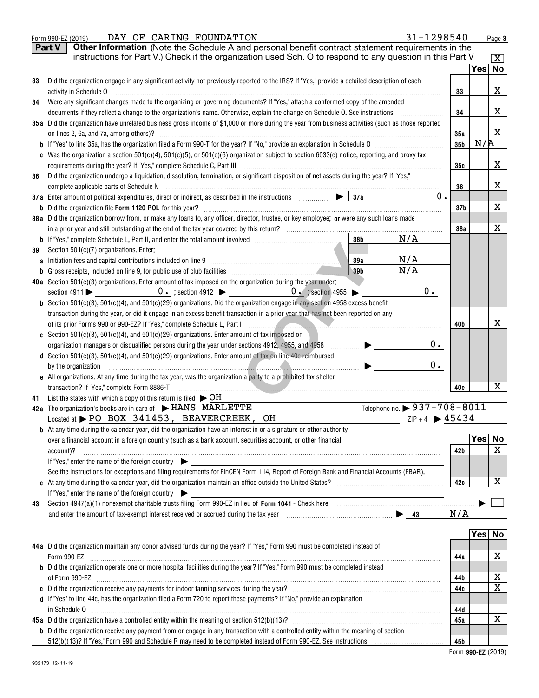|    | 31-1298540<br>DAY OF CARING FOUNDATION<br>Form 990-EZ (2019)                                                                                                                                                                                                                                                                                                                                                                                                   |                 |                  | Page 3                  |  |  |  |
|----|----------------------------------------------------------------------------------------------------------------------------------------------------------------------------------------------------------------------------------------------------------------------------------------------------------------------------------------------------------------------------------------------------------------------------------------------------------------|-----------------|------------------|-------------------------|--|--|--|
|    | Other Information (Note the Schedule A and personal benefit contract statement requirements in the<br><b>Part V</b>                                                                                                                                                                                                                                                                                                                                            |                 |                  |                         |  |  |  |
|    | instructions for Part V.) Check if the organization used Sch. O to respond to any question in this Part V                                                                                                                                                                                                                                                                                                                                                      |                 |                  | $\overline{\mathbf{X}}$ |  |  |  |
|    |                                                                                                                                                                                                                                                                                                                                                                                                                                                                |                 | Yes No           |                         |  |  |  |
| 33 | Did the organization engage in any significant activity not previously reported to the IRS? If "Yes," provide a detailed description of each                                                                                                                                                                                                                                                                                                                   |                 |                  |                         |  |  |  |
|    | activity in Schedule O                                                                                                                                                                                                                                                                                                                                                                                                                                         | 33              |                  | х                       |  |  |  |
| 34 | Were any significant changes made to the organizing or governing documents? If "Yes," attach a conformed copy of the amended                                                                                                                                                                                                                                                                                                                                   |                 |                  |                         |  |  |  |
|    | documents if they reflect a change to the organization's name. Otherwise, explain the change on Schedule O. See instructions                                                                                                                                                                                                                                                                                                                                   |                 |                  |                         |  |  |  |
|    | 35a Did the organization have unrelated business gross income of \$1,000 or more during the year from business activities (such as those reported                                                                                                                                                                                                                                                                                                              |                 |                  |                         |  |  |  |
|    | on lines 2, 6a, and 7a, among others)?                                                                                                                                                                                                                                                                                                                                                                                                                         | 35a             |                  | X                       |  |  |  |
|    |                                                                                                                                                                                                                                                                                                                                                                                                                                                                | 35 <sub>b</sub> | N/R              |                         |  |  |  |
|    | Was the organization a section $501(c)(4)$ , $501(c)(5)$ , or $501(c)(6)$ organization subject to section $6033(e)$ notice, reporting, and proxy tax                                                                                                                                                                                                                                                                                                           |                 |                  |                         |  |  |  |
|    |                                                                                                                                                                                                                                                                                                                                                                                                                                                                | 35c             |                  | х                       |  |  |  |
| 36 | Did the organization undergo a liquidation, dissolution, termination, or significant disposition of net assets during the year? If "Yes,"                                                                                                                                                                                                                                                                                                                      |                 |                  | х                       |  |  |  |
|    | $0$ .                                                                                                                                                                                                                                                                                                                                                                                                                                                          | 36              |                  |                         |  |  |  |
|    |                                                                                                                                                                                                                                                                                                                                                                                                                                                                |                 |                  | х                       |  |  |  |
|    | 38a Did the organization borrow from, or make any loans to, any officer, director, trustee, or key employee; or were any such loans made                                                                                                                                                                                                                                                                                                                       | 37 <sub>b</sub> |                  |                         |  |  |  |
|    |                                                                                                                                                                                                                                                                                                                                                                                                                                                                | 38a             |                  | х                       |  |  |  |
|    | N/A<br>38b                                                                                                                                                                                                                                                                                                                                                                                                                                                     |                 |                  |                         |  |  |  |
| 39 | Section 501(c)(7) organizations. Enter:                                                                                                                                                                                                                                                                                                                                                                                                                        |                 |                  |                         |  |  |  |
|    | N/A<br>39a<br>a Initiation fees and capital contributions included on line 9                                                                                                                                                                                                                                                                                                                                                                                   |                 |                  |                         |  |  |  |
| b  | N/A<br>39 <sub>b</sub><br>Gross receipts, included on line 9, for public use of club facilities [11] [11] Cross receipts, included on line 9, for public use of club facilities                                                                                                                                                                                                                                                                                |                 |                  |                         |  |  |  |
|    | 40a Section 501(c)(3) organizations. Enter amount of tax imposed on the organization during the year under:                                                                                                                                                                                                                                                                                                                                                    |                 |                  |                         |  |  |  |
|    | section 4911 $\triangleright$ 0. ; section 4912 $\triangleright$ 0. ; section 4955 $\triangleright$<br>$0$ .                                                                                                                                                                                                                                                                                                                                                   |                 |                  |                         |  |  |  |
|    | Section 501(c)(3), 501(c)(4), and 501(c)(29) organizations. Did the organization engage in any section 4958 excess benefit                                                                                                                                                                                                                                                                                                                                     |                 |                  |                         |  |  |  |
|    | transaction during the year, or did it engage in an excess benefit transaction in a prior year that has not been reported on any                                                                                                                                                                                                                                                                                                                               |                 |                  |                         |  |  |  |
|    | of its prior Forms 990 or 990-EZ? If "Yes," complete Schedule L, Part I Primeter Community Community Community                                                                                                                                                                                                                                                                                                                                                 | 40b             |                  | х                       |  |  |  |
|    | c Section 501(c)(3), 501(c)(4), and 501(c)(29) organizations. Enter amount of tax imposed on                                                                                                                                                                                                                                                                                                                                                                   |                 |                  |                         |  |  |  |
|    | 0.<br>organization managers or disqualified persons during the year under sections 4912, 4955, and 4958<br>$\begin{picture}(20,20) \put(0,0){\line(1,0){10}} \put(10,0){\line(1,0){10}} \put(10,0){\line(1,0){10}} \put(10,0){\line(1,0){10}} \put(10,0){\line(1,0){10}} \put(10,0){\line(1,0){10}} \put(10,0){\line(1,0){10}} \put(10,0){\line(1,0){10}} \put(10,0){\line(1,0){10}} \put(10,0){\line(1,0){10}} \put(10,0){\line(1,0){10}} \put(10,0){\line(1$ |                 |                  |                         |  |  |  |
|    | d Section 501(c)(3), 501(c)(4), and 501(c)(29) organizations. Enter amount of tax on line 40c reimbursed                                                                                                                                                                                                                                                                                                                                                       |                 |                  |                         |  |  |  |
|    | 0.<br>by the organization<br><u> De Barbara (Barbara)</u>                                                                                                                                                                                                                                                                                                                                                                                                      |                 |                  |                         |  |  |  |
|    | e All organizations. At any time during the tax year, was the organization a party to a prohibited tax shelter                                                                                                                                                                                                                                                                                                                                                 |                 |                  |                         |  |  |  |
|    | transaction? If "Yes," complete Form 8886-T                                                                                                                                                                                                                                                                                                                                                                                                                    | 40e             |                  | x                       |  |  |  |
| 41 | List the states with which a copy of this return is filed $\triangleright$ OH                                                                                                                                                                                                                                                                                                                                                                                  |                 |                  |                         |  |  |  |
|    | Telephone no. > 937-708-8011<br>42a The organization's books are in care of FIANS MARLETTE                                                                                                                                                                                                                                                                                                                                                                     |                 |                  |                         |  |  |  |
|    | $ZIP + 4$ $\triangleright$ 45434<br>Located at PO BOX 341453, BEAVERCREEK, OH                                                                                                                                                                                                                                                                                                                                                                                  |                 |                  |                         |  |  |  |
|    | <b>b</b> At any time during the calendar year, did the organization have an interest in or a signature or other authority                                                                                                                                                                                                                                                                                                                                      |                 |                  |                         |  |  |  |
|    | over a financial account in a foreign country (such as a bank account, securities account, or other financial                                                                                                                                                                                                                                                                                                                                                  |                 | Yes <sub>1</sub> | <b>No</b>               |  |  |  |
|    | account)?                                                                                                                                                                                                                                                                                                                                                                                                                                                      | 42 b            |                  | х                       |  |  |  |
|    | If "Yes," enter the name of the foreign country                                                                                                                                                                                                                                                                                                                                                                                                                |                 |                  |                         |  |  |  |
|    | See the instructions for exceptions and filing requirements for FinCEN Form 114, Report of Foreign Bank and Financial Accounts (FBAR).                                                                                                                                                                                                                                                                                                                         |                 |                  |                         |  |  |  |
|    |                                                                                                                                                                                                                                                                                                                                                                                                                                                                | 42c             |                  | х                       |  |  |  |
|    | If "Yes," enter the name of the foreign country $\qquad \qquad \qquad$                                                                                                                                                                                                                                                                                                                                                                                         |                 |                  |                         |  |  |  |
| 43 |                                                                                                                                                                                                                                                                                                                                                                                                                                                                | N/A             |                  |                         |  |  |  |
|    |                                                                                                                                                                                                                                                                                                                                                                                                                                                                |                 |                  |                         |  |  |  |
|    |                                                                                                                                                                                                                                                                                                                                                                                                                                                                |                 | Yes No           |                         |  |  |  |
|    | 44a Did the organization maintain any donor advised funds during the year? If "Yes," Form 990 must be completed instead of                                                                                                                                                                                                                                                                                                                                     |                 |                  |                         |  |  |  |
|    | Form 990-EZ                                                                                                                                                                                                                                                                                                                                                                                                                                                    | 44a             |                  | х                       |  |  |  |
|    | <b>b</b> Did the organization operate one or more hospital facilities during the year? If "Yes," Form 990 must be completed instead                                                                                                                                                                                                                                                                                                                            |                 |                  |                         |  |  |  |
|    |                                                                                                                                                                                                                                                                                                                                                                                                                                                                | 44b             |                  | х                       |  |  |  |
|    | c Did the organization receive any payments for indoor tanning services during the year? [11] [12] content content to receive any payments for indoor tanning services during the year? [12] [12] [12] $\alpha$                                                                                                                                                                                                                                                | 44c             |                  | Χ                       |  |  |  |
|    | d If "Yes" to line 44c, has the organization filed a Form 720 to report these payments? If "No," provide an explanation                                                                                                                                                                                                                                                                                                                                        |                 |                  |                         |  |  |  |
|    |                                                                                                                                                                                                                                                                                                                                                                                                                                                                | 44d             |                  |                         |  |  |  |
|    |                                                                                                                                                                                                                                                                                                                                                                                                                                                                | 45a             |                  | X                       |  |  |  |
|    | <b>b</b> Did the organization receive any payment from or engage in any transaction with a controlled entity within the meaning of section                                                                                                                                                                                                                                                                                                                     |                 |                  |                         |  |  |  |
|    |                                                                                                                                                                                                                                                                                                                                                                                                                                                                | 45b             |                  |                         |  |  |  |
|    |                                                                                                                                                                                                                                                                                                                                                                                                                                                                |                 |                  |                         |  |  |  |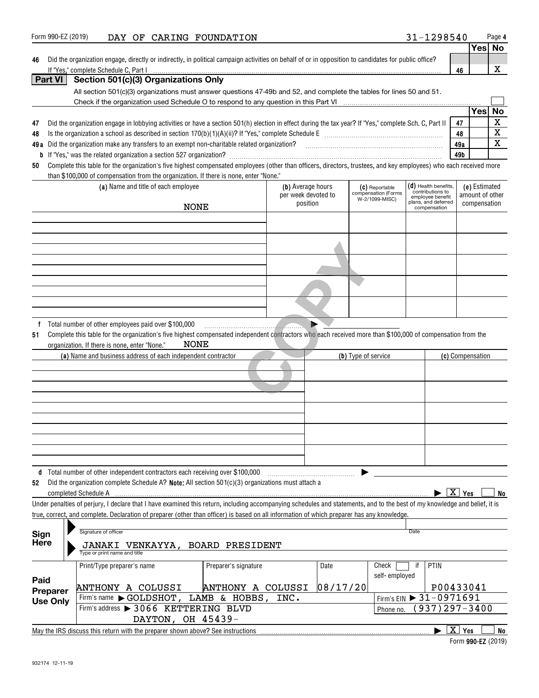| Did the organization engage, directly or indirectly, in political campaign activities on behalf of or in opposition to candidates for public office?<br>46 |  |                                                                                                                                                                                                                                  |                      |                     |          |                                       |                                      |                                              |                  |             |
|------------------------------------------------------------------------------------------------------------------------------------------------------------|--|----------------------------------------------------------------------------------------------------------------------------------------------------------------------------------------------------------------------------------|----------------------|---------------------|----------|---------------------------------------|--------------------------------------|----------------------------------------------|------------------|-------------|
|                                                                                                                                                            |  | If "Yes," complete Schedule C, Part I                                                                                                                                                                                            |                      |                     |          |                                       |                                      | 46                                           |                  | X           |
| Part VI                                                                                                                                                    |  | Section 501(c)(3) Organizations Only                                                                                                                                                                                             |                      |                     |          |                                       |                                      |                                              |                  |             |
|                                                                                                                                                            |  | All section 501(c)(3) organizations must answer questions 47-49b and 52, and complete the tables for lines 50 and 51.                                                                                                            |                      |                     |          |                                       |                                      |                                              |                  |             |
|                                                                                                                                                            |  |                                                                                                                                                                                                                                  |                      |                     |          |                                       |                                      |                                              | <b>Yes</b>       | No          |
|                                                                                                                                                            |  |                                                                                                                                                                                                                                  |                      |                     |          |                                       |                                      |                                              |                  | $\mathbf X$ |
| 47                                                                                                                                                         |  | Did the organization engage in lobbying activities or have a section 501(h) election in effect during the tax year? If "Yes," complete Sch. C, Part II                                                                           |                      |                     |          |                                       |                                      | 47                                           |                  | $\mathbf X$ |
| 48                                                                                                                                                         |  |                                                                                                                                                                                                                                  |                      |                     |          |                                       |                                      | 48                                           |                  | $\mathbf X$ |
|                                                                                                                                                            |  | 49a Did the organization make any transfers to an exempt non-charitable related organization?<br>2010 marries manufaction?  2010 matter and area matters and the communication matter and the community and the community of the |                      |                     |          |                                       |                                      | 49a<br>49b                                   |                  |             |
| 50                                                                                                                                                         |  | Complete this table for the organization's five highest compensated employees (other than officers, directors, trustees, and key employees) who each received more                                                               |                      |                     |          |                                       |                                      |                                              |                  |             |
|                                                                                                                                                            |  | than \$100,000 of compensation from the organization. If there is none, enter "None."                                                                                                                                            |                      |                     |          |                                       |                                      |                                              |                  |             |
|                                                                                                                                                            |  | (a) Name and title of each employee                                                                                                                                                                                              |                      | (b) Average hours   |          | (C) Reportable                        | $(d)$ Health benefits,               |                                              | (e) Estimated    |             |
|                                                                                                                                                            |  |                                                                                                                                                                                                                                  |                      | per week devoted to |          | compensation (Forms<br>W-2/1099-MISC) | contributions to<br>employee benefit | amount of other                              |                  |             |
|                                                                                                                                                            |  | <b>NONE</b>                                                                                                                                                                                                                      |                      | position            |          |                                       | plans, and deferred<br>compensation  |                                              | compensation     |             |
|                                                                                                                                                            |  |                                                                                                                                                                                                                                  |                      |                     |          |                                       |                                      |                                              |                  |             |
|                                                                                                                                                            |  |                                                                                                                                                                                                                                  |                      |                     |          |                                       |                                      |                                              |                  |             |
|                                                                                                                                                            |  |                                                                                                                                                                                                                                  |                      |                     |          |                                       |                                      |                                              |                  |             |
|                                                                                                                                                            |  |                                                                                                                                                                                                                                  |                      |                     |          |                                       |                                      |                                              |                  |             |
|                                                                                                                                                            |  |                                                                                                                                                                                                                                  |                      |                     |          |                                       |                                      |                                              |                  |             |
|                                                                                                                                                            |  |                                                                                                                                                                                                                                  |                      |                     |          |                                       |                                      |                                              |                  |             |
|                                                                                                                                                            |  |                                                                                                                                                                                                                                  |                      |                     |          |                                       |                                      |                                              |                  |             |
|                                                                                                                                                            |  |                                                                                                                                                                                                                                  |                      |                     |          |                                       |                                      |                                              |                  |             |
|                                                                                                                                                            |  |                                                                                                                                                                                                                                  |                      |                     |          |                                       |                                      |                                              |                  |             |
|                                                                                                                                                            |  | Total number of other employees paid over \$100,000                                                                                                                                                                              |                      |                     |          |                                       |                                      |                                              |                  |             |
|                                                                                                                                                            |  | (a) Name and business address of each independent contractor                                                                                                                                                                     |                      |                     |          | (b) Type of service                   |                                      |                                              | (c) Compensation |             |
|                                                                                                                                                            |  |                                                                                                                                                                                                                                  |                      |                     |          |                                       |                                      |                                              |                  |             |
|                                                                                                                                                            |  |                                                                                                                                                                                                                                  |                      |                     |          |                                       |                                      |                                              |                  |             |
|                                                                                                                                                            |  | d Total number of other independent contractors each receiving over \$100,000                                                                                                                                                    |                      |                     |          |                                       |                                      |                                              |                  |             |
| 52                                                                                                                                                         |  | Did the organization complete Schedule A? Note: All section 501(c)(3) organizations must attach a                                                                                                                                |                      |                     |          |                                       |                                      |                                              |                  |             |
|                                                                                                                                                            |  | completed Schedule A                                                                                                                                                                                                             |                      |                     |          |                                       |                                      | $\blacktriangleright$ $\boxed{\text{X}}$ Yes |                  | No          |
|                                                                                                                                                            |  | Under penalties of perjury, I declare that I have examined this return, including accompanying schedules and statements, and to the best of my knowledge and belief, it is                                                       |                      |                     |          |                                       |                                      |                                              |                  |             |
|                                                                                                                                                            |  | true, correct, and complete. Declaration of preparer (other than officer) is based on all information of which preparer has any knowledge.                                                                                       |                      |                     |          |                                       |                                      |                                              |                  |             |
|                                                                                                                                                            |  |                                                                                                                                                                                                                                  |                      |                     |          |                                       |                                      |                                              |                  |             |
| Sign                                                                                                                                                       |  | Signature of officer                                                                                                                                                                                                             |                      |                     |          |                                       | Date                                 |                                              |                  |             |
| <b>Here</b>                                                                                                                                                |  | JANAKI VENKAYYA, BOARD PRESIDENT<br>Type or print name and title                                                                                                                                                                 |                      |                     |          |                                       |                                      |                                              |                  |             |
|                                                                                                                                                            |  | Print/Type preparer's name                                                                                                                                                                                                       | Preparer's signature |                     | Date     | Check                                 | if<br>PTIN                           |                                              |                  |             |
| Paid                                                                                                                                                       |  |                                                                                                                                                                                                                                  |                      |                     |          | self-employed                         |                                      |                                              |                  |             |
| <b>Preparer</b>                                                                                                                                            |  | <b>ANTHONY A COLUSSI</b>                                                                                                                                                                                                         | ANTHONY A COLUSSI    |                     | 08/17/20 |                                       | P00433041                            |                                              |                  |             |
| <b>Use Only</b>                                                                                                                                            |  | Firm's name GOLDSHOT,                                                                                                                                                                                                            | LAMB & HOBBS,        | INC.                |          |                                       | Firm's EIN > 31-0971691              |                                              |                  |             |
|                                                                                                                                                            |  | Firm's address > 3066 KETTERING BLVD                                                                                                                                                                                             |                      |                     |          | Phone no.                             | 937)297-3400                         |                                              |                  |             |
|                                                                                                                                                            |  | DAYTON, OH 45439-                                                                                                                                                                                                                |                      |                     |          |                                       |                                      |                                              |                  |             |
|                                                                                                                                                            |  | May the IRS discuss this return with the preparer shown above? See instructions                                                                                                                                                  |                      |                     |          |                                       |                                      | $\boxed{\text{X}}$ Yes                       |                  | <b>No</b>   |

| Form 990-EZ (2019) |  |
|--------------------|--|

## Form 990-EZ(2019) **DAY OF CARING FOUNDATION** 31-1298540 Page

|  | 31-1298540 |  |  |  |
|--|------------|--|--|--|
|  |            |  |  |  |

| Yes∣ No |  |
|---------|--|

| e organization engage, directly or indirectly, in political campaign activities on behalf of or in opposition to |  |  |  |
|------------------------------------------------------------------------------------------------------------------|--|--|--|

**4**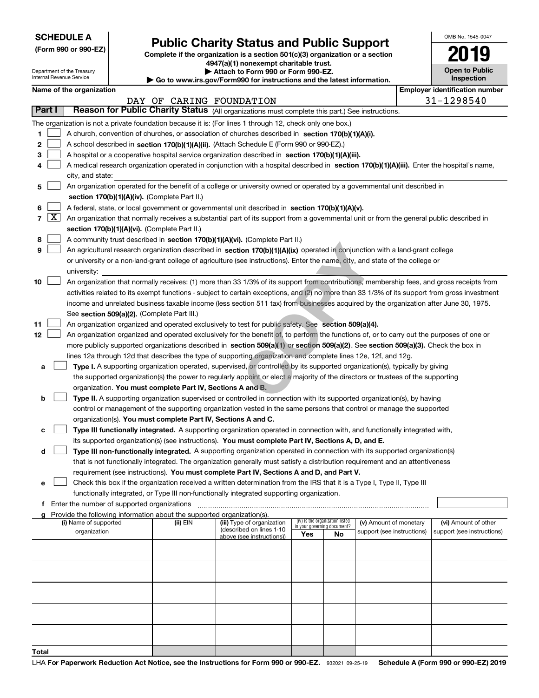| <b>SCHEDULE A</b> |
|-------------------|
|-------------------|

**(Form 990 or 990-EZ)**

## **Public Charity Status and Public Support**

**Complete if the organization is a section 501(c)(3) organization or a section 4947(a)(1) nonexempt charitable trust.**

| OMB No. 1545-0047     |
|-----------------------|
| 2019                  |
| <b>Open to Public</b> |

| Department of the Treasury<br>Internal Revenue Service                                                    |                          |                                             |  | Attach to Form 990 or Form 990-EZ.<br>$\blacktriangleright$ Go to www.irs.gov/Form990 for instructions and the latest information. |                                                                                                                                               |                                 |    |                                                      | <b>Open to Public</b><br><b>Inspection</b> |                                                    |
|-----------------------------------------------------------------------------------------------------------|--------------------------|---------------------------------------------|--|------------------------------------------------------------------------------------------------------------------------------------|-----------------------------------------------------------------------------------------------------------------------------------------------|---------------------------------|----|------------------------------------------------------|--------------------------------------------|----------------------------------------------------|
|                                                                                                           |                          | Name of the organization                    |  |                                                                                                                                    |                                                                                                                                               |                                 |    |                                                      |                                            | <b>Employer identification number</b>              |
|                                                                                                           | DAY OF CARING FOUNDATION |                                             |  |                                                                                                                                    |                                                                                                                                               |                                 |    | 31-1298540                                           |                                            |                                                    |
| Part I<br>Reason for Public Charity Status (All organizations must complete this part.) See instructions. |                          |                                             |  |                                                                                                                                    |                                                                                                                                               |                                 |    |                                                      |                                            |                                                    |
|                                                                                                           |                          |                                             |  |                                                                                                                                    | The organization is not a private foundation because it is: (For lines 1 through 12, check only one box.)                                     |                                 |    |                                                      |                                            |                                                    |
| 1                                                                                                         |                          |                                             |  |                                                                                                                                    | A church, convention of churches, or association of churches described in section 170(b)(1)(A)(i).                                            |                                 |    |                                                      |                                            |                                                    |
| 2                                                                                                         |                          |                                             |  |                                                                                                                                    | A school described in section 170(b)(1)(A)(ii). (Attach Schedule E (Form 990 or 990-EZ).)                                                     |                                 |    |                                                      |                                            |                                                    |
| 3                                                                                                         |                          |                                             |  |                                                                                                                                    | A hospital or a cooperative hospital service organization described in section $170(b)(1)(A)(iii)$ .                                          |                                 |    |                                                      |                                            |                                                    |
| 4                                                                                                         |                          |                                             |  |                                                                                                                                    | A medical research organization operated in conjunction with a hospital described in section 170(b)(1)(A)(iii). Enter the hospital's name,    |                                 |    |                                                      |                                            |                                                    |
|                                                                                                           |                          | city, and state:                            |  |                                                                                                                                    |                                                                                                                                               |                                 |    |                                                      |                                            |                                                    |
| 5                                                                                                         |                          |                                             |  |                                                                                                                                    | An organization operated for the benefit of a college or university owned or operated by a governmental unit described in                     |                                 |    |                                                      |                                            |                                                    |
|                                                                                                           |                          |                                             |  | section 170(b)(1)(A)(iv). (Complete Part II.)                                                                                      |                                                                                                                                               |                                 |    |                                                      |                                            |                                                    |
| 6                                                                                                         |                          |                                             |  |                                                                                                                                    | A federal, state, or local government or governmental unit described in section 170(b)(1)(A)(v).                                              |                                 |    |                                                      |                                            |                                                    |
|                                                                                                           | $7 \times$               |                                             |  |                                                                                                                                    | An organization that normally receives a substantial part of its support from a governmental unit or from the general public described in     |                                 |    |                                                      |                                            |                                                    |
|                                                                                                           |                          |                                             |  | section 170(b)(1)(A)(vi). (Complete Part II.)                                                                                      |                                                                                                                                               |                                 |    |                                                      |                                            |                                                    |
| 8                                                                                                         |                          |                                             |  |                                                                                                                                    | A community trust described in section 170(b)(1)(A)(vi). (Complete Part II.)                                                                  |                                 |    |                                                      |                                            |                                                    |
| 9                                                                                                         |                          |                                             |  |                                                                                                                                    | An agricultural research organization described in section 170(b)(1)(A)(ix) operated in conjunction with a land-grant college                 |                                 |    |                                                      |                                            |                                                    |
|                                                                                                           |                          |                                             |  |                                                                                                                                    | or university or a non-land-grant college of agriculture (see instructions). Enter the name, city, and state of the college or                |                                 |    |                                                      |                                            |                                                    |
|                                                                                                           |                          | university:                                 |  |                                                                                                                                    |                                                                                                                                               |                                 |    |                                                      |                                            |                                                    |
| 10                                                                                                        |                          |                                             |  |                                                                                                                                    | An organization that normally receives: (1) more than 33 1/3% of its support from contributions, membership fees, and gross receipts from     |                                 |    |                                                      |                                            |                                                    |
|                                                                                                           |                          |                                             |  |                                                                                                                                    | activities related to its exempt functions - subject to certain exceptions, and (2) no more than 33 1/3% of its support from gross investment |                                 |    |                                                      |                                            |                                                    |
|                                                                                                           |                          |                                             |  |                                                                                                                                    | income and unrelated business taxable income (less section 511 tax) from businesses acquired by the organization after June 30, 1975.         |                                 |    |                                                      |                                            |                                                    |
|                                                                                                           |                          |                                             |  | See section 509(a)(2). (Complete Part III.)                                                                                        |                                                                                                                                               |                                 |    |                                                      |                                            |                                                    |
| 11                                                                                                        |                          |                                             |  |                                                                                                                                    | An organization organized and operated exclusively to test for public safety. See section 509(a)(4).                                          |                                 |    |                                                      |                                            |                                                    |
| 12                                                                                                        |                          |                                             |  |                                                                                                                                    | An organization organized and operated exclusively for the benefit of, to perform the functions of, or to carry out the purposes of one or    |                                 |    |                                                      |                                            |                                                    |
|                                                                                                           |                          |                                             |  |                                                                                                                                    | more publicly supported organizations described in section 509(a)(1) or section 509(a)(2). See section 509(a)(3). Check the box in            |                                 |    |                                                      |                                            |                                                    |
|                                                                                                           |                          |                                             |  |                                                                                                                                    | lines 12a through 12d that describes the type of supporting organization and complete lines 12e, 12f, and 12g.                                |                                 |    |                                                      |                                            |                                                    |
| а                                                                                                         |                          |                                             |  |                                                                                                                                    | Type I. A supporting organization operated, supervised, or controlled by its supported organization(s), typically by giving                   |                                 |    |                                                      |                                            |                                                    |
|                                                                                                           |                          |                                             |  |                                                                                                                                    | the supported organization(s) the power to regularly appoint or elect a majority of the directors or trustees of the supporting               |                                 |    |                                                      |                                            |                                                    |
|                                                                                                           |                          |                                             |  | organization. You must complete Part IV, Sections A and B.                                                                         |                                                                                                                                               |                                 |    |                                                      |                                            |                                                    |
| b                                                                                                         |                          |                                             |  |                                                                                                                                    | Type II. A supporting organization supervised or controlled in connection with its supported organization(s), by having                       |                                 |    |                                                      |                                            |                                                    |
|                                                                                                           |                          |                                             |  |                                                                                                                                    | control or management of the supporting organization vested in the same persons that control or manage the supported                          |                                 |    |                                                      |                                            |                                                    |
|                                                                                                           |                          |                                             |  | organization(s). You must complete Part IV, Sections A and C.                                                                      |                                                                                                                                               |                                 |    |                                                      |                                            |                                                    |
| с                                                                                                         |                          |                                             |  |                                                                                                                                    | Type III functionally integrated. A supporting organization operated in connection with, and functionally integrated with,                    |                                 |    |                                                      |                                            |                                                    |
|                                                                                                           |                          |                                             |  |                                                                                                                                    | its supported organization(s) (see instructions). You must complete Part IV, Sections A, D, and E.                                            |                                 |    |                                                      |                                            |                                                    |
| d                                                                                                         |                          |                                             |  |                                                                                                                                    | Type III non-functionally integrated. A supporting organization operated in connection with its supported organization(s)                     |                                 |    |                                                      |                                            |                                                    |
|                                                                                                           |                          |                                             |  |                                                                                                                                    | that is not functionally integrated. The organization generally must satisfy a distribution requirement and an attentiveness                  |                                 |    |                                                      |                                            |                                                    |
|                                                                                                           |                          |                                             |  |                                                                                                                                    | requirement (see instructions). You must complete Part IV, Sections A and D, and Part V.                                                      |                                 |    |                                                      |                                            |                                                    |
| е                                                                                                         |                          |                                             |  |                                                                                                                                    | Check this box if the organization received a written determination from the IRS that it is a Type I, Type II, Type III                       |                                 |    |                                                      |                                            |                                                    |
|                                                                                                           |                          |                                             |  |                                                                                                                                    | functionally integrated, or Type III non-functionally integrated supporting organization.                                                     |                                 |    |                                                      |                                            |                                                    |
| f                                                                                                         |                          | Enter the number of supported organizations |  |                                                                                                                                    |                                                                                                                                               |                                 |    |                                                      |                                            |                                                    |
|                                                                                                           |                          |                                             |  | Provide the following information about the supported organization(s).                                                             |                                                                                                                                               | (iv) Is the organization listed |    |                                                      |                                            |                                                    |
|                                                                                                           |                          | (i) Name of supported<br>organization       |  | (ii) $EIN$                                                                                                                         | (iii) Type of organization<br>(described on lines 1-10                                                                                        | in your governing document?     |    | (v) Amount of monetary<br>support (see instructions) |                                            | (vi) Amount of other<br>support (see instructions) |
|                                                                                                           |                          |                                             |  |                                                                                                                                    | above (see instructions))                                                                                                                     | Yes                             | No |                                                      |                                            |                                                    |
|                                                                                                           |                          |                                             |  |                                                                                                                                    |                                                                                                                                               |                                 |    |                                                      |                                            |                                                    |
|                                                                                                           |                          |                                             |  |                                                                                                                                    |                                                                                                                                               |                                 |    |                                                      |                                            |                                                    |
|                                                                                                           |                          |                                             |  |                                                                                                                                    |                                                                                                                                               |                                 |    |                                                      |                                            |                                                    |
|                                                                                                           |                          |                                             |  |                                                                                                                                    |                                                                                                                                               |                                 |    |                                                      |                                            |                                                    |
|                                                                                                           |                          |                                             |  |                                                                                                                                    |                                                                                                                                               |                                 |    |                                                      |                                            |                                                    |
|                                                                                                           |                          |                                             |  |                                                                                                                                    |                                                                                                                                               |                                 |    |                                                      |                                            |                                                    |
|                                                                                                           |                          |                                             |  |                                                                                                                                    |                                                                                                                                               |                                 |    |                                                      |                                            |                                                    |
|                                                                                                           |                          |                                             |  |                                                                                                                                    |                                                                                                                                               |                                 |    |                                                      |                                            |                                                    |
|                                                                                                           |                          |                                             |  |                                                                                                                                    |                                                                                                                                               |                                 |    |                                                      |                                            |                                                    |
|                                                                                                           |                          |                                             |  |                                                                                                                                    |                                                                                                                                               |                                 |    |                                                      |                                            |                                                    |
| Total                                                                                                     |                          |                                             |  |                                                                                                                                    |                                                                                                                                               |                                 |    |                                                      |                                            |                                                    |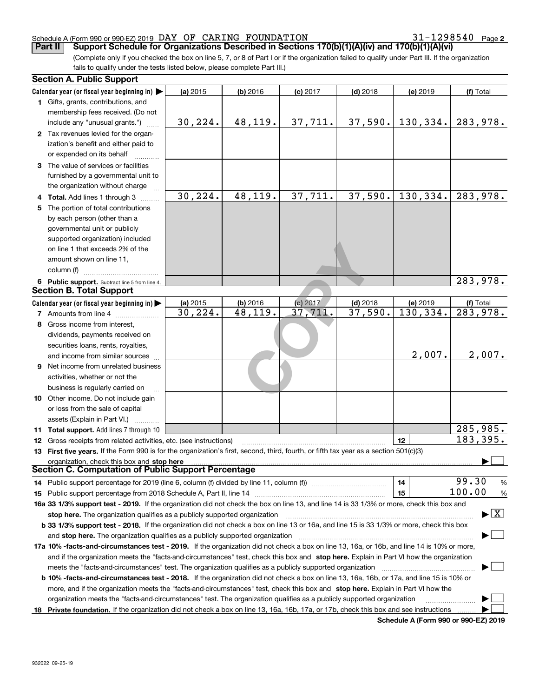**2**

(Complete only if you checked the box on line 5, 7, or 8 of Part I or if the organization failed to qualify under Part III. If the organization fails to qualify under the tests listed below, please complete Part III.) **Part II Support Schedule for Organizations Described in Sections 170(b)(1)(A)(iv) and 170(b)(1)(A)(vi)** 

|    | <b>Section A. Public Support</b>                                                                                                               |          |            |            |            |           |                                          |
|----|------------------------------------------------------------------------------------------------------------------------------------------------|----------|------------|------------|------------|-----------|------------------------------------------|
|    | Calendar year (or fiscal year beginning in)                                                                                                    | (a) 2015 | (b) 2016   | $(c)$ 2017 | $(d)$ 2018 | (e) 2019  | (f) Total                                |
|    | 1 Gifts, grants, contributions, and                                                                                                            |          |            |            |            |           |                                          |
|    | membership fees received. (Do not                                                                                                              |          |            |            |            |           |                                          |
|    | include any "unusual grants.")                                                                                                                 | 30, 224. | 48,119.    | 37,711.    | 37,590.    | 130,334.  | 283,978.                                 |
|    | 2 Tax revenues levied for the organ-                                                                                                           |          |            |            |            |           |                                          |
|    | ization's benefit and either paid to                                                                                                           |          |            |            |            |           |                                          |
|    | or expended on its behalf                                                                                                                      |          |            |            |            |           |                                          |
|    | 3 The value of services or facilities                                                                                                          |          |            |            |            |           |                                          |
|    | furnished by a governmental unit to                                                                                                            |          |            |            |            |           |                                          |
|    | the organization without charge                                                                                                                |          |            |            |            |           |                                          |
|    | 4 Total. Add lines 1 through 3                                                                                                                 | 30, 224. | 48, 119.   | 37,711.    | 37,590.    | 130, 334. | 283,978.                                 |
| 5. | The portion of total contributions                                                                                                             |          |            |            |            |           |                                          |
|    | by each person (other than a                                                                                                                   |          |            |            |            |           |                                          |
|    | governmental unit or publicly                                                                                                                  |          |            |            |            |           |                                          |
|    | supported organization) included                                                                                                               |          |            |            |            |           |                                          |
|    | on line 1 that exceeds 2% of the                                                                                                               |          |            |            |            |           |                                          |
|    | amount shown on line 11,                                                                                                                       |          |            |            |            |           |                                          |
|    | column (f)                                                                                                                                     |          |            |            |            |           |                                          |
|    | 6 Public support. Subtract line 5 from line 4.                                                                                                 |          |            |            |            |           | 283,978.                                 |
|    | <b>Section B. Total Support</b>                                                                                                                |          |            |            |            |           |                                          |
|    | Calendar year (or fiscal year beginning in)                                                                                                    | (a) 2015 | $(b)$ 2016 | (c) 2017   | $(d)$ 2018 | (e) 2019  | (f) Total                                |
|    | <b>7</b> Amounts from line 4                                                                                                                   | 30, 224. | 48, 119.   | 37,711.    | 37,590.    | 130, 334. | $\overline{283,978.}$                    |
|    | 8 Gross income from interest,                                                                                                                  |          |            |            |            |           |                                          |
|    | dividends, payments received on                                                                                                                |          |            |            |            |           |                                          |
|    | securities loans, rents, royalties,                                                                                                            |          |            |            |            |           |                                          |
|    | and income from similar sources                                                                                                                |          |            |            |            | 2,007.    | 2,007.                                   |
| 9  | Net income from unrelated business                                                                                                             |          |            |            |            |           |                                          |
|    | activities, whether or not the                                                                                                                 |          |            |            |            |           |                                          |
|    | business is regularly carried on                                                                                                               |          |            |            |            |           |                                          |
|    | 10 Other income. Do not include gain                                                                                                           |          |            |            |            |           |                                          |
|    | or loss from the sale of capital                                                                                                               |          |            |            |            |           |                                          |
|    | assets (Explain in Part VI.)                                                                                                                   |          |            |            |            |           |                                          |
|    | 11 Total support. Add lines 7 through 10                                                                                                       |          |            |            |            |           | 285,985.                                 |
|    | <b>12</b> Gross receipts from related activities, etc. (see instructions)                                                                      |          |            |            |            | 12        | 183, 395.                                |
|    | 13 First five years. If the Form 990 is for the organization's first, second, third, fourth, or fifth tax year as a section 501(c)(3)          |          |            |            |            |           |                                          |
|    | organization, check this box and stop here                                                                                                     |          |            |            |            |           |                                          |
|    | <b>Section C. Computation of Public Support Percentage</b>                                                                                     |          |            |            |            |           |                                          |
|    | 14 Public support percentage for 2019 (line 6, column (f) divided by line 11, column (f) <i>manumumumum</i>                                    |          |            |            |            | 14        | 99.30<br>%                               |
|    |                                                                                                                                                |          |            |            |            | 15        | 100.00<br>%                              |
|    | 16a 33 1/3% support test - 2019. If the organization did not check the box on line 13, and line 14 is 33 1/3% or more, check this box and      |          |            |            |            |           |                                          |
|    | stop here. The organization qualifies as a publicly supported organization                                                                     |          |            |            |            |           | $\blacktriangleright$ $\boxed{\text{X}}$ |
|    | b 33 1/3% support test - 2018. If the organization did not check a box on line 13 or 16a, and line 15 is 33 1/3% or more, check this box       |          |            |            |            |           |                                          |
|    | and stop here. The organization qualifies as a publicly supported organization                                                                 |          |            |            |            |           |                                          |
|    | 17a 10% -facts-and-circumstances test - 2019. If the organization did not check a box on line 13, 16a, or 16b, and line 14 is 10% or more,     |          |            |            |            |           |                                          |
|    | and if the organization meets the "facts-and-circumstances" test, check this box and stop here. Explain in Part VI how the organization        |          |            |            |            |           |                                          |
|    | meets the "facts-and-circumstances" test. The organization qualifies as a publicly supported organization                                      |          |            |            |            |           |                                          |
|    | <b>b 10% -facts-and-circumstances test - 2018.</b> If the organization did not check a box on line 13, 16a, 16b, or 17a, and line 15 is 10% or |          |            |            |            |           |                                          |
|    | more, and if the organization meets the "facts-and-circumstances" test, check this box and stop here. Explain in Part VI how the               |          |            |            |            |           |                                          |
|    | organization meets the "facts-and-circumstances" test. The organization qualifies as a publicly supported organization                         |          |            |            |            |           |                                          |
|    | 18 Private foundation. If the organization did not check a box on line 13, 16a, 16b, 17a, or 17b, check this box and see instructions          |          |            |            |            |           |                                          |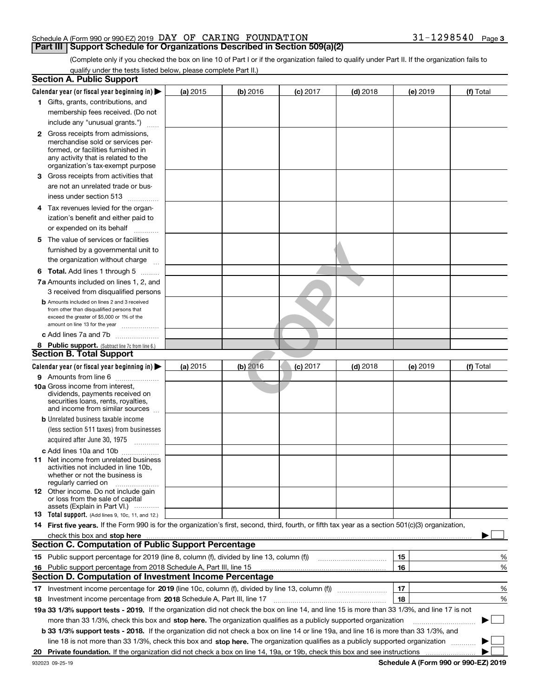(Complete only if you checked the box on line 10 of Part I or if the organization failed to qualify under Part II. If the organization fails to qualify under the tests listed below, please complete Part II.)

|    | <b>Section A. Public Support</b>                                                                                                                    |            |            |            |            |          |           |
|----|-----------------------------------------------------------------------------------------------------------------------------------------------------|------------|------------|------------|------------|----------|-----------|
|    | Calendar year (or fiscal year beginning in) $\blacktriangleright$                                                                                   | (a) 2015   | (b) 2016   | $(c)$ 2017 | $(d)$ 2018 | (e) 2019 | (f) Total |
|    | 1 Gifts, grants, contributions, and                                                                                                                 |            |            |            |            |          |           |
|    | membership fees received. (Do not                                                                                                                   |            |            |            |            |          |           |
|    | include any "unusual grants.")                                                                                                                      |            |            |            |            |          |           |
|    | <b>2</b> Gross receipts from admissions,                                                                                                            |            |            |            |            |          |           |
|    | merchandise sold or services per-<br>formed, or facilities furnished in<br>any activity that is related to the<br>organization's tax-exempt purpose |            |            |            |            |          |           |
|    | 3 Gross receipts from activities that                                                                                                               |            |            |            |            |          |           |
|    | are not an unrelated trade or bus-                                                                                                                  |            |            |            |            |          |           |
|    | iness under section 513                                                                                                                             |            |            |            |            |          |           |
| 4  | Tax revenues levied for the organ-                                                                                                                  |            |            |            |            |          |           |
|    | ization's benefit and either paid to                                                                                                                |            |            |            |            |          |           |
|    | or expended on its behalf<br>.                                                                                                                      |            |            |            |            |          |           |
|    | 5 The value of services or facilities                                                                                                               |            |            |            |            |          |           |
|    | furnished by a governmental unit to                                                                                                                 |            |            |            |            |          |           |
|    | the organization without charge                                                                                                                     |            |            |            |            |          |           |
|    | <b>6 Total.</b> Add lines 1 through 5                                                                                                               |            |            |            |            |          |           |
|    | 7a Amounts included on lines 1, 2, and                                                                                                              |            |            |            |            |          |           |
|    | 3 received from disqualified persons                                                                                                                |            |            |            |            |          |           |
|    | <b>b</b> Amounts included on lines 2 and 3 received<br>from other than disqualified persons that                                                    |            |            |            |            |          |           |
|    | exceed the greater of \$5,000 or 1% of the                                                                                                          |            |            |            |            |          |           |
|    | amount on line 13 for the year                                                                                                                      |            |            |            |            |          |           |
|    | c Add lines 7a and 7b                                                                                                                               |            |            |            |            |          |           |
|    | 8 Public support. (Subtract line 7c from line 6.)<br><b>Section B. Total Support</b>                                                                |            |            |            |            |          |           |
|    |                                                                                                                                                     |            |            |            |            |          |           |
|    | Calendar year (or fiscal year beginning in) $\blacktriangleright$                                                                                   | (a) $2015$ | $(b)$ 2016 | $(c)$ 2017 | $(d)$ 2018 | (e) 2019 | (f) Total |
|    | 9 Amounts from line 6                                                                                                                               |            |            |            |            |          |           |
|    | 10a Gross income from interest,<br>dividends, payments received on<br>securities loans, rents, royalties,<br>and income from similar sources        |            |            |            |            |          |           |
|    | <b>b</b> Unrelated business taxable income                                                                                                          |            |            |            |            |          |           |
|    | (less section 511 taxes) from businesses                                                                                                            |            |            |            |            |          |           |
|    | acquired after June 30, 1975<br>1.1.1.1.1.1.1.1.1.1                                                                                                 |            |            |            |            |          |           |
|    | c Add lines 10a and 10b                                                                                                                             |            |            |            |            |          |           |
|    | <b>11</b> Net income from unrelated business<br>activities not included in line 10b,<br>whether or not the business is<br>regularly carried on      |            |            |            |            |          |           |
|    | <b>12</b> Other income. Do not include gain<br>or loss from the sale of capital<br>assets (Explain in Part VI.)                                     |            |            |            |            |          |           |
|    | <b>13</b> Total support. (Add lines 9, 10c, 11, and 12.)                                                                                            |            |            |            |            |          |           |
|    | 14 First five years. If the Form 990 is for the organization's first, second, third, fourth, or fifth tax year as a section 501(c)(3) organization, |            |            |            |            |          |           |
|    |                                                                                                                                                     |            |            |            |            |          |           |
|    | <b>Section C. Computation of Public Support Percentage</b>                                                                                          |            |            |            |            |          |           |
|    | 15 Public support percentage for 2019 (line 8, column (f), divided by line 13, column (f))                                                          |            |            |            |            | 15       | %         |
| 16 | Public support percentage from 2018 Schedule A, Part III, line 15                                                                                   |            |            |            |            | 16       | %         |
|    | <b>Section D. Computation of Investment Income Percentage</b>                                                                                       |            |            |            |            |          |           |
|    | 17 Investment income percentage for 2019 (line 10c, column (f), divided by line 13, column (f))                                                     |            |            |            |            | 17       | %         |
|    | 18 Investment income percentage from 2018 Schedule A, Part III, line 17                                                                             |            |            |            |            | 18       | %         |
|    | 19a 33 1/3% support tests - 2019. If the organization did not check the box on line 14, and line 15 is more than 33 1/3%, and line 17 is not        |            |            |            |            |          |           |
|    | more than 33 1/3%, check this box and stop here. The organization qualifies as a publicly supported organization                                    |            |            |            |            |          | $\sim$ 1  |
|    | b 33 1/3% support tests - 2018. If the organization did not check a box on line 14 or line 19a, and line 16 is more than 33 1/3%, and               |            |            |            |            |          |           |
|    | line 18 is not more than 33 1/3%, check this box and stop here. The organization qualifies as a publicly supported organization                     |            |            |            |            |          |           |
|    |                                                                                                                                                     |            |            |            |            |          |           |
|    |                                                                                                                                                     |            |            |            |            |          |           |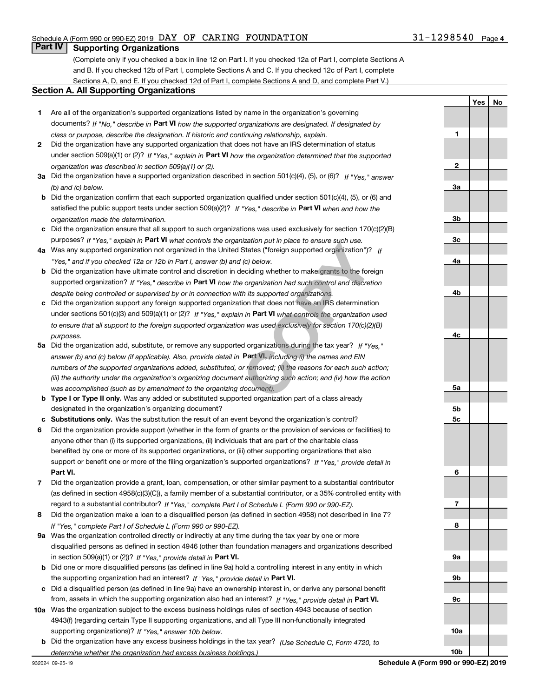## **Part IV Supporting Organizations**

(Complete only if you checked a box in line 12 on Part I. If you checked 12a of Part I, complete Sections A and B. If you checked 12b of Part I, complete Sections A and C. If you checked 12c of Part I, complete Sections A, D, and E. If you checked 12d of Part I, complete Sections A and D, and complete Part V.)

### **Section A. All Supporting Organizations**

- **1** Are all of the organization's supported organizations listed by name in the organization's governing documents? If "No," describe in **Part VI** how the supported organizations are designated. If designated by *class or purpose, describe the designation. If historic and continuing relationship, explain.*
- **2** Did the organization have any supported organization that does not have an IRS determination of status under section 509(a)(1) or (2)? If "Yes," explain in Part VI how the organization determined that the supported *organization was described in section 509(a)(1) or (2).*
- **3a** Did the organization have a supported organization described in section 501(c)(4), (5), or (6)? If "Yes," answer *(b) and (c) below.*
- **b** Did the organization confirm that each supported organization qualified under section 501(c)(4), (5), or (6) and satisfied the public support tests under section 509(a)(2)? If "Yes," describe in **Part VI** when and how the *organization made the determination.*
- **c**Did the organization ensure that all support to such organizations was used exclusively for section 170(c)(2)(B) purposes? If "Yes," explain in **Part VI** what controls the organization put in place to ensure such use.
- **4a***If* Was any supported organization not organized in the United States ("foreign supported organization")? *"Yes," and if you checked 12a or 12b in Part I, answer (b) and (c) below.*
- **b** Did the organization have ultimate control and discretion in deciding whether to make grants to the foreign supported organization? If "Yes," describe in **Part VI** how the organization had such control and discretion *despite being controlled or supervised by or in connection with its supported organizations.*
- **c** Did the organization support any foreign supported organization that does not have an IRS determination under sections 501(c)(3) and 509(a)(1) or (2)? If "Yes," explain in **Part VI** what controls the organization used *to ensure that all support to the foreign supported organization was used exclusively for section 170(c)(2)(B) purposes.*
- **5a***If "Yes,"* Did the organization add, substitute, or remove any supported organizations during the tax year? answer (b) and (c) below (if applicable). Also, provide detail in **Part VI,** including (i) the names and EIN *numbers of the supported organizations added, substituted, or removed; (ii) the reasons for each such action; (iii) the authority under the organization's organizing document authorizing such action; and (iv) how the action was accomplished (such as by amendment to the organizing document).* Inization put in place to ensure such use.<br>
States ("foreign supported organization")?<br>
If (c) below.<br>
deciding whether to make grants to the fore<br>
e organization had such control and discreti<br>
th its supported organizatio
- **b** Type I or Type II only. Was any added or substituted supported organization part of a class already designated in the organization's organizing document?
- **cSubstitutions only.**  Was the substitution the result of an event beyond the organization's control?
- **6** Did the organization provide support (whether in the form of grants or the provision of services or facilities) to **Part VI.** *If "Yes," provide detail in* support or benefit one or more of the filing organization's supported organizations? anyone other than (i) its supported organizations, (ii) individuals that are part of the charitable class benefited by one or more of its supported organizations, or (iii) other supporting organizations that also
- **7**Did the organization provide a grant, loan, compensation, or other similar payment to a substantial contributor *If "Yes," complete Part I of Schedule L (Form 990 or 990-EZ).* regard to a substantial contributor? (as defined in section 4958(c)(3)(C)), a family member of a substantial contributor, or a 35% controlled entity with
- **8** Did the organization make a loan to a disqualified person (as defined in section 4958) not described in line 7? *If "Yes," complete Part I of Schedule L (Form 990 or 990-EZ).*
- **9a** Was the organization controlled directly or indirectly at any time during the tax year by one or more in section 509(a)(1) or (2))? If "Yes," *provide detail in* <code>Part VI.</code> disqualified persons as defined in section 4946 (other than foundation managers and organizations described
- **b** Did one or more disqualified persons (as defined in line 9a) hold a controlling interest in any entity in which the supporting organization had an interest? If "Yes," provide detail in P**art VI**.
- **c**Did a disqualified person (as defined in line 9a) have an ownership interest in, or derive any personal benefit from, assets in which the supporting organization also had an interest? If "Yes," provide detail in P**art VI.**
- **10a** Was the organization subject to the excess business holdings rules of section 4943 because of section supporting organizations)? If "Yes," answer 10b below. 4943(f) (regarding certain Type II supporting organizations, and all Type III non-functionally integrated
- **b** Did the organization have any excess business holdings in the tax year? (Use Schedule C, Form 4720, to *determine whether the organization had excess business holdings.)*

**3a3b3c4a4b4c5a5b5c6789a 9b9c10a**

**10b**

**1**

**2**

**YesNo**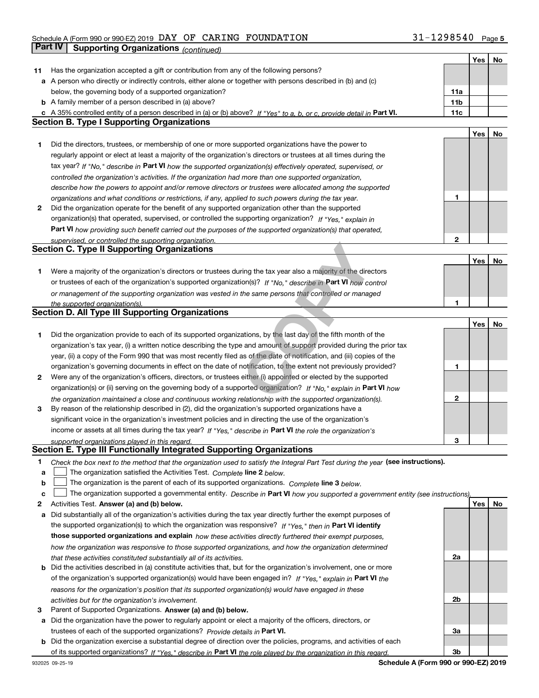## Schedule A (Form 990 or 990-EZ) 2019 Page DAY OF CARING FOUNDATION 31-1298540**Part IV | Supporting Organizations** *(continued)*

|    |                                                                                                                                          |              | Yes        | No |
|----|------------------------------------------------------------------------------------------------------------------------------------------|--------------|------------|----|
| 11 | Has the organization accepted a gift or contribution from any of the following persons?                                                  |              |            |    |
|    | a A person who directly or indirectly controls, either alone or together with persons described in (b) and (c)                           |              |            |    |
|    | below, the governing body of a supported organization?                                                                                   | 11a          |            |    |
|    | <b>b</b> A family member of a person described in (a) above?                                                                             | 11b          |            |    |
|    | c A 35% controlled entity of a person described in (a) or (b) above? If "Yes" to a, b, or c, provide detail in Part VI.                  | 11c          |            |    |
|    | <b>Section B. Type I Supporting Organizations</b>                                                                                        |              |            |    |
|    |                                                                                                                                          |              | Yes        | No |
| 1  | Did the directors, trustees, or membership of one or more supported organizations have the power to                                      |              |            |    |
|    | regularly appoint or elect at least a majority of the organization's directors or trustees at all times during the                       |              |            |    |
|    | tax year? If "No," describe in Part VI how the supported organization(s) effectively operated, supervised, or                            |              |            |    |
|    | controlled the organization's activities. If the organization had more than one supported organization,                                  |              |            |    |
|    | describe how the powers to appoint and/or remove directors or trustees were allocated among the supported                                |              |            |    |
|    | organizations and what conditions or restrictions, if any, applied to such powers during the tax year.                                   | 1            |            |    |
| 2  | Did the organization operate for the benefit of any supported organization other than the supported                                      |              |            |    |
|    | organization(s) that operated, supervised, or controlled the supporting organization? If "Yes," explain in                               |              |            |    |
|    | Part VI how providing such benefit carried out the purposes of the supported organization(s) that operated,                              |              |            |    |
|    | supervised, or controlled the supporting organization.                                                                                   | $\mathbf{2}$ |            |    |
|    | <b>Section C. Type II Supporting Organizations</b>                                                                                       |              |            |    |
|    |                                                                                                                                          |              | Yes        | No |
| 1. | Were a majority of the organization's directors or trustees during the tax year also a majority of the directors                         |              |            |    |
|    | or trustees of each of the organization's supported organization(s)? If "No," describe in Part VI how control                            |              |            |    |
|    |                                                                                                                                          |              |            |    |
|    | or management of the supporting organization was vested in the same persons that controlled or managed<br>the supported organization(s). | 1            |            |    |
|    | Section D. All Type III Supporting Organizations                                                                                         |              |            |    |
|    |                                                                                                                                          |              | Yes        | No |
| 1  | Did the organization provide to each of its supported organizations, by the last day of the fifth month of the                           |              |            |    |
|    | organization's tax year, (i) a written notice describing the type and amount of support provided during the prior tax                    |              |            |    |
|    | year, (ii) a copy of the Form 990 that was most recently filed as of the date of notification, and (iii) copies of the                   |              |            |    |
|    | organization's governing documents in effect on the date of notification, to the extent not previously provided?                         | 1            |            |    |
|    |                                                                                                                                          |              |            |    |
| 2  | Were any of the organization's officers, directors, or trustees either (i) appointed or elected by the supported                         |              |            |    |
|    | organization(s) or (ii) serving on the governing body of a supported organization? If "No," explain in Part VI how                       |              |            |    |
|    | the organization maintained a close and continuous working relationship with the supported organization(s).                              | $\mathbf{2}$ |            |    |
| 3  | By reason of the relationship described in (2), did the organization's supported organizations have a                                    |              |            |    |
|    | significant voice in the organization's investment policies and in directing the use of the organization's                               |              |            |    |
|    | income or assets at all times during the tax year? If "Yes," describe in Part VI the role the organization's                             |              |            |    |
|    | supported organizations played in this regard.                                                                                           | 3            |            |    |
|    | Section E. Type III Functionally Integrated Supporting Organizations                                                                     |              |            |    |
| 1  | Check the box next to the method that the organization used to satisfy the Integral Part Test during the year (see instructions).        |              |            |    |
| a  | The organization satisfied the Activities Test. Complete line 2 below.                                                                   |              |            |    |
| b  | The organization is the parent of each of its supported organizations. Complete line 3 below.                                            |              |            |    |
| с  | The organization supported a governmental entity. Describe in Part VI how you supported a government entity (see instructions),          |              |            |    |
| 2  | Activities Test. Answer (a) and (b) below.                                                                                               |              | <b>Yes</b> | No |
| а  | Did substantially all of the organization's activities during the tax year directly further the exempt purposes of                       |              |            |    |
|    | the supported organization(s) to which the organization was responsive? If "Yes," then in Part VI identify                               |              |            |    |
|    | those supported organizations and explain how these activities directly furthered their exempt purposes,                                 |              |            |    |
|    | how the organization was responsive to those supported organizations, and how the organization determined                                |              |            |    |
|    | that these activities constituted substantially all of its activities.                                                                   | 2a           |            |    |
|    | <b>b</b> Did the activities described in (a) constitute activities that, but for the organization's involvement, one or more             |              |            |    |
|    | of the organization's supported organization(s) would have been engaged in? If "Yes," explain in Part VI the                             |              |            |    |
|    | reasons for the organization's position that its supported organization(s) would have engaged in these                                   |              |            |    |
|    | activities but for the organization's involvement.                                                                                       | 2b           |            |    |
| 3  | Parent of Supported Organizations. Answer (a) and (b) below.                                                                             |              |            |    |
| а  | Did the organization have the power to regularly appoint or elect a majority of the officers, directors, or                              |              |            |    |
|    | trustees of each of the supported organizations? Provide details in Part VI.                                                             | За           |            |    |
|    | <b>b</b> Did the organization exercise a substantial degree of direction over the policies, programs, and activities of each             |              |            |    |
|    | of its supported organizations? If "Yes." describe in Part VI the role played by the organization in this regard.                        | 3b           |            |    |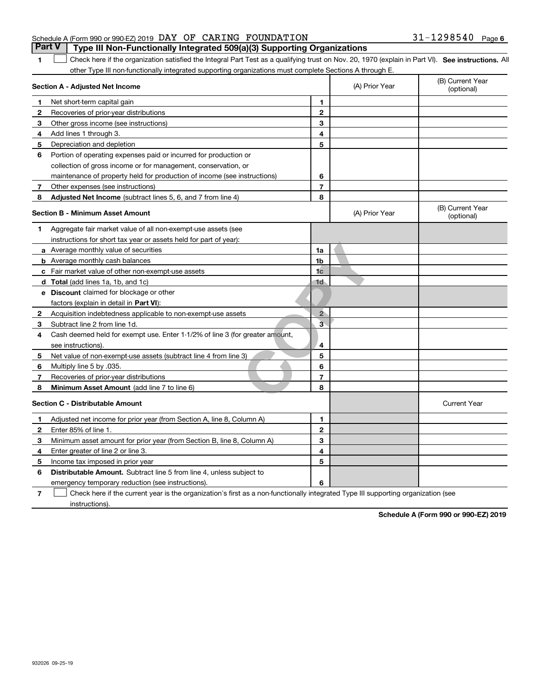**1**

### Schedule A (Form 990 or 990-EZ) 2019 Page DAY OF CARING FOUNDATION 31-1298540**Part V Type III Non-Functionally Integrated 509(a)(3) Supporting Organizations**

1 Check here if the organization satisfied the Integral Part Test as a qualifying trust on Nov. 20, 1970 (explain in Part VI). See instructions. All other Type III non-functionally integrated supporting organizations must complete Sections A through E.

| Section A - Adjusted Net Income |                                                                              |                | (A) Prior Year | (B) Current Year<br>(optional) |
|---------------------------------|------------------------------------------------------------------------------|----------------|----------------|--------------------------------|
| 1                               | Net short-term capital gain                                                  | 1.             |                |                                |
| $\mathbf{2}$                    | Recoveries of prior-year distributions                                       | $\overline{2}$ |                |                                |
| 3                               | Other gross income (see instructions)                                        | 3              |                |                                |
| 4                               | Add lines 1 through 3.                                                       | 4              |                |                                |
| 5                               | Depreciation and depletion                                                   | 5              |                |                                |
| 6                               | Portion of operating expenses paid or incurred for production or             |                |                |                                |
|                                 | collection of gross income or for management, conservation, or               |                |                |                                |
|                                 | maintenance of property held for production of income (see instructions)     | 6              |                |                                |
| 7                               | Other expenses (see instructions)                                            | $\overline{7}$ |                |                                |
| 8                               | Adjusted Net Income (subtract lines 5, 6, and 7 from line 4)                 | 8              |                |                                |
|                                 | <b>Section B - Minimum Asset Amount</b>                                      |                | (A) Prior Year | (B) Current Year<br>(optional) |
| 1                               | Aggregate fair market value of all non-exempt-use assets (see                |                |                |                                |
|                                 | instructions for short tax year or assets held for part of year):            |                |                |                                |
|                                 | <b>a</b> Average monthly value of securities                                 | 1a             |                |                                |
|                                 | <b>b</b> Average monthly cash balances                                       | 1b             |                |                                |
|                                 | c Fair market value of other non-exempt-use assets                           | 1 <sub>c</sub> |                |                                |
|                                 | <b>d</b> Total (add lines 1a, 1b, and 1c)                                    | 1d             |                |                                |
|                                 | e Discount claimed for blockage or other                                     |                |                |                                |
|                                 | factors (explain in detail in Part VI):                                      |                |                |                                |
| 2                               | Acquisition indebtedness applicable to non-exempt-use assets                 | $\overline{2}$ |                |                                |
| 3                               | Subtract line 2 from line 1d.                                                | $\bar{3}$      |                |                                |
| 4                               | Cash deemed held for exempt use. Enter 1-1/2% of line 3 (for greater amount, |                |                |                                |
|                                 | see instructions)                                                            | 4              |                |                                |
| 5                               | Net value of non-exempt-use assets (subtract line 4 from line 3)             | 5              |                |                                |
| 6                               | Multiply line 5 by .035.                                                     | 6              |                |                                |
| 7                               | Recoveries of prior-year distributions                                       | $\overline{7}$ |                |                                |
| 8                               | Minimum Asset Amount (add line 7 to line 6)                                  | 8              |                |                                |
|                                 | <b>Section C - Distributable Amount</b>                                      |                |                | <b>Current Year</b>            |
| $\mathbf 1$                     | Adjusted net income for prior year (from Section A, line 8, Column A)        | 1              |                |                                |
| $\mathbf{2}$                    | Enter 85% of line 1.                                                         | $\mathbf{2}$   |                |                                |
| з                               | Minimum asset amount for prior year (from Section B, line 8, Column A)       | 3              |                |                                |
| 4                               | Enter greater of line 2 or line 3.                                           | 4              |                |                                |
| 5                               | Income tax imposed in prior year                                             | 5              |                |                                |
| 6                               | <b>Distributable Amount.</b> Subtract line 5 from line 4, unless subject to  |                |                |                                |
|                                 | emergency temporary reduction (see instructions).                            | 6              |                |                                |

**7**Check here if the current year is the organization's first as a non-functionally integrated Type III supporting organization (see instructions).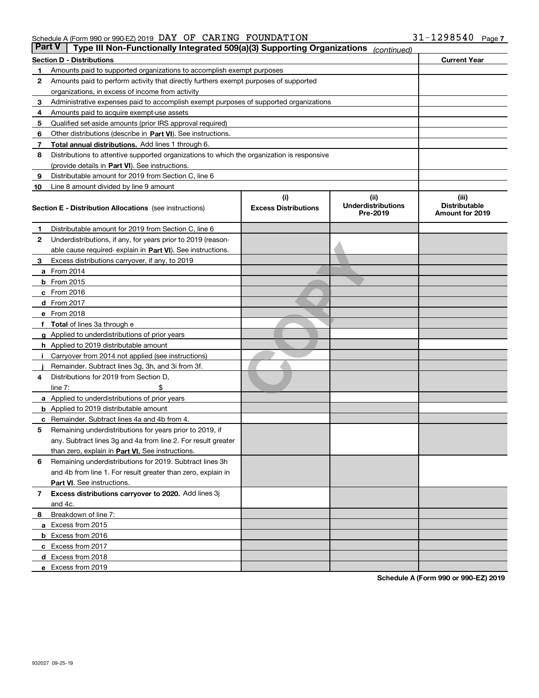|    | Part V<br>Type III Non-Functionally Integrated 509(a)(3) Supporting Organizations          |                             | (continued)                           |                                         |
|----|--------------------------------------------------------------------------------------------|-----------------------------|---------------------------------------|-----------------------------------------|
|    | <b>Section D - Distributions</b>                                                           |                             |                                       | <b>Current Year</b>                     |
| 1  | Amounts paid to supported organizations to accomplish exempt purposes                      |                             |                                       |                                         |
| 2  | Amounts paid to perform activity that directly furthers exempt purposes of supported       |                             |                                       |                                         |
|    | organizations, in excess of income from activity                                           |                             |                                       |                                         |
| з  | Administrative expenses paid to accomplish exempt purposes of supported organizations      |                             |                                       |                                         |
| 4  | Amounts paid to acquire exempt-use assets                                                  |                             |                                       |                                         |
| 5  | Qualified set-aside amounts (prior IRS approval required)                                  |                             |                                       |                                         |
| 6  | Other distributions (describe in Part VI). See instructions.                               |                             |                                       |                                         |
| 7  | <b>Total annual distributions.</b> Add lines 1 through 6.                                  |                             |                                       |                                         |
| 8  | Distributions to attentive supported organizations to which the organization is responsive |                             |                                       |                                         |
|    | (provide details in Part VI). See instructions.                                            |                             |                                       |                                         |
| 9  | Distributable amount for 2019 from Section C, line 6                                       |                             |                                       |                                         |
| 10 | Line 8 amount divided by line 9 amount                                                     |                             |                                       |                                         |
|    |                                                                                            | (i)                         | (iii)                                 | (iii)                                   |
|    | <b>Section E - Distribution Allocations</b> (see instructions)                             | <b>Excess Distributions</b> | <b>Underdistributions</b><br>Pre-2019 | <b>Distributable</b><br>Amount for 2019 |
| 1  | Distributable amount for 2019 from Section C, line 6                                       |                             |                                       |                                         |
| 2  | Underdistributions, if any, for years prior to 2019 (reason-                               |                             |                                       |                                         |
|    | able cause required- explain in Part VI). See instructions.                                |                             |                                       |                                         |
| з  | Excess distributions carryover, if any, to 2019                                            |                             |                                       |                                         |
|    | <b>a</b> From 2014                                                                         |                             |                                       |                                         |
|    | <b>b</b> From 2015                                                                         |                             |                                       |                                         |
|    | $c$ From 2016                                                                              |                             |                                       |                                         |
|    | d From 2017                                                                                |                             |                                       |                                         |
|    | e From 2018                                                                                |                             |                                       |                                         |
|    | Total of lines 3a through e                                                                |                             |                                       |                                         |
|    | <b>g</b> Applied to underdistributions of prior years                                      |                             |                                       |                                         |
|    | <b>h</b> Applied to 2019 distributable amount                                              |                             |                                       |                                         |
|    | Carryover from 2014 not applied (see instructions)                                         |                             |                                       |                                         |
|    | Remainder. Subtract lines 3g, 3h, and 3i from 3f.                                          |                             |                                       |                                         |
| 4  | Distributions for 2019 from Section D,                                                     |                             |                                       |                                         |
|    | line $7:$                                                                                  |                             |                                       |                                         |
|    | <b>a</b> Applied to underdistributions of prior years                                      |                             |                                       |                                         |
|    | <b>b</b> Applied to 2019 distributable amount                                              |                             |                                       |                                         |
| c  | Remainder. Subtract lines 4a and 4b from 4.                                                |                             |                                       |                                         |
| 5  | Remaining underdistributions for years prior to 2019, if                                   |                             |                                       |                                         |
|    | any. Subtract lines 3g and 4a from line 2. For result greater                              |                             |                                       |                                         |
|    | than zero, explain in Part VI. See instructions.                                           |                             |                                       |                                         |
| 6  | Remaining underdistributions for 2019. Subtract lines 3h                                   |                             |                                       |                                         |
|    | and 4b from line 1. For result greater than zero, explain in                               |                             |                                       |                                         |
|    | Part VI. See instructions.                                                                 |                             |                                       |                                         |
| 7  | Excess distributions carryover to 2020. Add lines 3j                                       |                             |                                       |                                         |
|    | and 4c.                                                                                    |                             |                                       |                                         |
| 8  | Breakdown of line 7:                                                                       |                             |                                       |                                         |
|    | a Excess from 2015                                                                         |                             |                                       |                                         |
|    | <b>b</b> Excess from 2016                                                                  |                             |                                       |                                         |
|    | c Excess from 2017                                                                         |                             |                                       |                                         |
|    | d Excess from 2018                                                                         |                             |                                       |                                         |
|    | e Excess from 2019                                                                         |                             |                                       |                                         |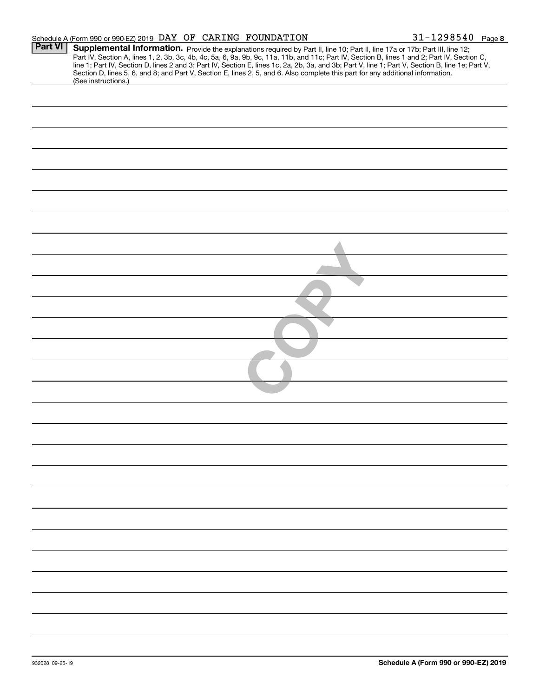|                | Schedule A (Form 990 or 990-EZ) 2019 DAY OF CARING FOUNDATION                                                                                                                                                                                                                                                                                                                                                                                                                                                                                   | $31 - 1298540$ Page 8 |
|----------------|-------------------------------------------------------------------------------------------------------------------------------------------------------------------------------------------------------------------------------------------------------------------------------------------------------------------------------------------------------------------------------------------------------------------------------------------------------------------------------------------------------------------------------------------------|-----------------------|
| <b>Part VI</b> | Supplemental Information. Provide the explanations required by Part II, line 10; Part II, line 17a or 17b; Part III, line 12;<br>Part IV, Section A, lines 1, 2, 3b, 3c, 4b, 4c, 5a, 6, 9a, 9b, 9c, 11a, 11b, and 11c; Part IV, S<br>line 1; Part IV, Section D, lines 2 and 3; Part IV, Section E, lines 1c, 2a, 2b, 3a, and 3b; Part V, line 1; Part V, Section B, line 1e; Part V,<br>Section D, lines 5, 6, and 8; and Part V, Section E, lines 2, 5, and 6. Also complete this part for any additional information.<br>(See instructions.) |                       |
|                |                                                                                                                                                                                                                                                                                                                                                                                                                                                                                                                                                 |                       |
|                |                                                                                                                                                                                                                                                                                                                                                                                                                                                                                                                                                 |                       |
|                |                                                                                                                                                                                                                                                                                                                                                                                                                                                                                                                                                 |                       |
|                |                                                                                                                                                                                                                                                                                                                                                                                                                                                                                                                                                 |                       |
|                |                                                                                                                                                                                                                                                                                                                                                                                                                                                                                                                                                 |                       |
|                |                                                                                                                                                                                                                                                                                                                                                                                                                                                                                                                                                 |                       |
|                |                                                                                                                                                                                                                                                                                                                                                                                                                                                                                                                                                 |                       |
|                |                                                                                                                                                                                                                                                                                                                                                                                                                                                                                                                                                 |                       |
|                |                                                                                                                                                                                                                                                                                                                                                                                                                                                                                                                                                 |                       |
|                |                                                                                                                                                                                                                                                                                                                                                                                                                                                                                                                                                 |                       |
|                |                                                                                                                                                                                                                                                                                                                                                                                                                                                                                                                                                 |                       |
|                |                                                                                                                                                                                                                                                                                                                                                                                                                                                                                                                                                 |                       |
|                |                                                                                                                                                                                                                                                                                                                                                                                                                                                                                                                                                 |                       |
|                |                                                                                                                                                                                                                                                                                                                                                                                                                                                                                                                                                 |                       |
|                |                                                                                                                                                                                                                                                                                                                                                                                                                                                                                                                                                 |                       |
|                |                                                                                                                                                                                                                                                                                                                                                                                                                                                                                                                                                 |                       |
|                |                                                                                                                                                                                                                                                                                                                                                                                                                                                                                                                                                 |                       |
|                |                                                                                                                                                                                                                                                                                                                                                                                                                                                                                                                                                 |                       |
|                |                                                                                                                                                                                                                                                                                                                                                                                                                                                                                                                                                 |                       |
|                |                                                                                                                                                                                                                                                                                                                                                                                                                                                                                                                                                 |                       |
|                |                                                                                                                                                                                                                                                                                                                                                                                                                                                                                                                                                 |                       |
|                |                                                                                                                                                                                                                                                                                                                                                                                                                                                                                                                                                 |                       |
|                |                                                                                                                                                                                                                                                                                                                                                                                                                                                                                                                                                 |                       |
|                |                                                                                                                                                                                                                                                                                                                                                                                                                                                                                                                                                 |                       |
|                |                                                                                                                                                                                                                                                                                                                                                                                                                                                                                                                                                 |                       |
|                |                                                                                                                                                                                                                                                                                                                                                                                                                                                                                                                                                 |                       |
|                |                                                                                                                                                                                                                                                                                                                                                                                                                                                                                                                                                 |                       |
|                |                                                                                                                                                                                                                                                                                                                                                                                                                                                                                                                                                 |                       |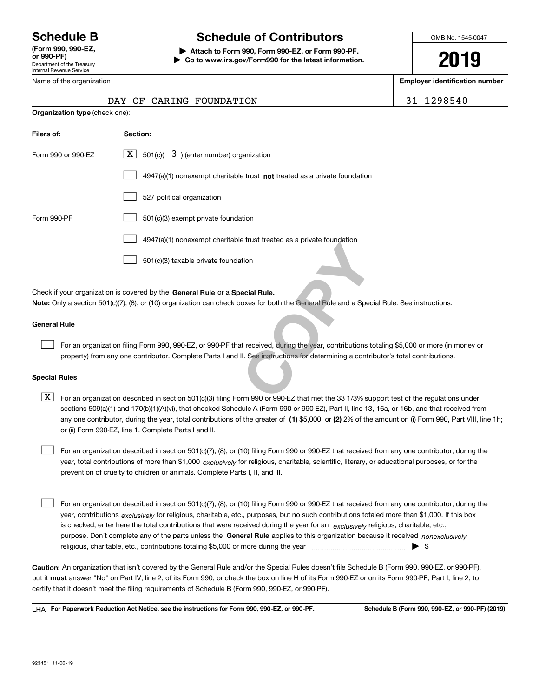Department of the Treasury Internal Revenue Service **(Form 990, 990-EZ, or 990-PF)**

Name of the organization

## **Schedule B Schedule of Contributors**

**| Attach to Form 990, Form 990-EZ, or Form 990-PF. | Go to www.irs.gov/Form990 for the latest information.** OMB No. 1545-0047

# **2019**

**Employer identification number**

|  | DAY OF CARING FOUNDATION | 31-1298540 |
|--|--------------------------|------------|
|--|--------------------------|------------|

| <b>Organization type (check one):</b> |                                                                                                                                                                                                                                                                           |  |  |  |  |  |
|---------------------------------------|---------------------------------------------------------------------------------------------------------------------------------------------------------------------------------------------------------------------------------------------------------------------------|--|--|--|--|--|
| Filers of:                            | Section:                                                                                                                                                                                                                                                                  |  |  |  |  |  |
| Form 990 or 990-EZ                    | $\lfloor x \rfloor$ 501(c)( 3) (enter number) organization                                                                                                                                                                                                                |  |  |  |  |  |
|                                       | 4947(a)(1) nonexempt charitable trust not treated as a private foundation                                                                                                                                                                                                 |  |  |  |  |  |
|                                       | 527 political organization                                                                                                                                                                                                                                                |  |  |  |  |  |
| Form 990-PF                           | 501(c)(3) exempt private foundation                                                                                                                                                                                                                                       |  |  |  |  |  |
|                                       | 4947(a)(1) nonexempt charitable trust treated as a private foundation                                                                                                                                                                                                     |  |  |  |  |  |
|                                       | 501(c)(3) taxable private foundation                                                                                                                                                                                                                                      |  |  |  |  |  |
|                                       | Check if your organization is covered by the General Rule or a Special Rule.<br>Note: Only a section 501(c)(7), (8), or (10) organization can check boxes for both the General Rule and a Special Rule. See instructions.                                                 |  |  |  |  |  |
| <b>General Rule</b>                   |                                                                                                                                                                                                                                                                           |  |  |  |  |  |
|                                       | For an organization filing Form 990, 990-EZ, or 990-PF that received, during the year, contributions totaling \$5,000 or more (in m<br>property) from any one contributor. Complete Parts I and II. See instructions for determining a contributor's total contributions. |  |  |  |  |  |
| <b>Special Rules</b>                  |                                                                                                                                                                                                                                                                           |  |  |  |  |  |
| X.                                    | For an organization described in section 501(c)(3) filing Form 990 or 990-EZ that met the 33 1/3% support test of the regulations                                                                                                                                         |  |  |  |  |  |

### **General Rule**

For an organization filing Form 990, 990-EZ, or 990-PF that received, during the year, contributions totaling \$5,000 or more (in money or property) from any one contributor. Complete Parts I and II. See instructions for determining a contributor's total contributions.

#### **Special Rules**

any one contributor, during the year, total contributions of the greater of  $\,$  (1) \$5,000; or **(2)** 2% of the amount on (i) Form 990, Part VIII, line 1h;  $\boxed{\textbf{X}}$  For an organization described in section 501(c)(3) filing Form 990 or 990-EZ that met the 33 1/3% support test of the regulations under sections 509(a)(1) and 170(b)(1)(A)(vi), that checked Schedule A (Form 990 or 990-EZ), Part II, line 13, 16a, or 16b, and that received from or (ii) Form 990-EZ, line 1. Complete Parts I and II.

year, total contributions of more than \$1,000 *exclusively* for religious, charitable, scientific, literary, or educational purposes, or for the For an organization described in section 501(c)(7), (8), or (10) filing Form 990 or 990-EZ that received from any one contributor, during the prevention of cruelty to children or animals. Complete Parts I, II, and III.  $\mathcal{L}^{\text{max}}$ 

purpose. Don't complete any of the parts unless the **General Rule** applies to this organization because it received *nonexclusively* year, contributions <sub>exclusively</sub> for religious, charitable, etc., purposes, but no such contributions totaled more than \$1,000. If this box is checked, enter here the total contributions that were received during the year for an  $\;$ exclusively religious, charitable, etc., For an organization described in section 501(c)(7), (8), or (10) filing Form 990 or 990-EZ that received from any one contributor, during the religious, charitable, etc., contributions totaling \$5,000 or more during the year  $\Box$ — $\Box$   $\Box$  $\mathcal{L}^{\text{max}}$ 

**Caution:**  An organization that isn't covered by the General Rule and/or the Special Rules doesn't file Schedule B (Form 990, 990-EZ, or 990-PF),  **must** but it answer "No" on Part IV, line 2, of its Form 990; or check the box on line H of its Form 990-EZ or on its Form 990-PF, Part I, line 2, to certify that it doesn't meet the filing requirements of Schedule B (Form 990, 990-EZ, or 990-PF).

**For Paperwork Reduction Act Notice, see the instructions for Form 990, 990-EZ, or 990-PF. Schedule B (Form 990, 990-EZ, or 990-PF) (2019)** LHA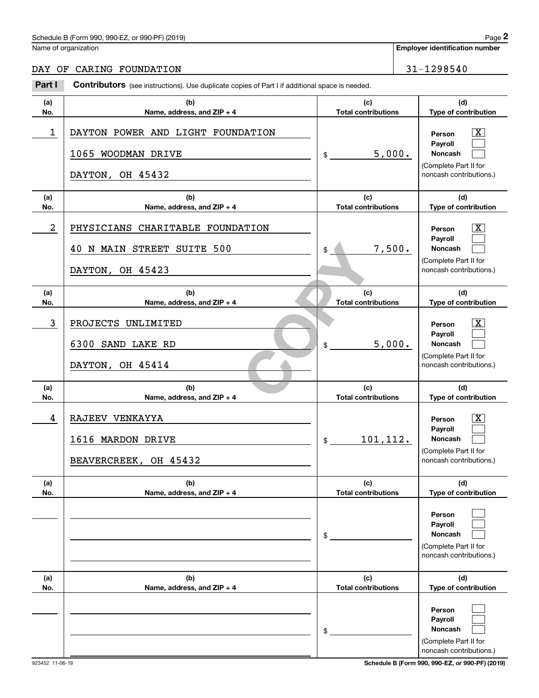## Schedule B (Form 990, 990-EZ, or 990-PF) (2019) Page 2

## DAY OF CARING FOUNDATION 31-1298540

|                | Schedule B (Form 990, 990-EZ, or 990-PF) (2019)                                                       |                                   |        | Page 2                                                                                           |
|----------------|-------------------------------------------------------------------------------------------------------|-----------------------------------|--------|--------------------------------------------------------------------------------------------------|
|                | Name of organization                                                                                  |                                   |        | <b>Employer identification number</b>                                                            |
|                | DAY OF CARING FOUNDATION                                                                              |                                   |        | 31-1298540                                                                                       |
| Part I         | <b>Contributors</b> (see instructions). Use duplicate copies of Part I if additional space is needed. |                                   |        |                                                                                                  |
| (a)<br>No.     | (b)<br>Name, address, and ZIP + 4                                                                     | (c)<br><b>Total contributions</b> |        | (d)<br>Type of contribution                                                                      |
| 1              | DAYTON POWER AND LIGHT FOUNDATION<br>1065 WOODMAN DRIVE<br>DAYTON, OH 45432                           | 5,000.<br>\$                      |        | $\mathbf{X}$<br>Person<br>Payroll<br>Noncash<br>(Complete Part II for<br>noncash contributions.) |
| (a)<br>No.     | (b)<br>Name, address, and ZIP + 4                                                                     | (c)<br><b>Total contributions</b> |        | (d)<br>Type of contribution                                                                      |
| $\overline{a}$ | PHYSICIANS CHARITABLE FOUNDATION<br>40 N MAIN STREET SUITE 500<br>DAYTON, OH 45423                    | \$                                | 7,500. | $\mathbf{X}$<br>Person<br>Payroll<br>Noncash<br>(Complete Part II for<br>noncash contributions.) |
| (a)<br>No.     | (b)<br>Name, address, and ZIP + 4                                                                     | (c)<br><b>Total contributions</b> |        | (d)<br>Type of contribution                                                                      |
| 3              | PROJECTS UNLIMITED<br>6300 SAND LAKE RD<br>DAYTON, OH 45414                                           | \$                                | 5,000. | $\mathbf{X}$<br>Person<br>Payroll<br>Noncash<br>(Complete Part II for<br>noncash contributions.) |
| (a)<br>No.     | (b)<br>Name, address, and ZIP + 4                                                                     | (c)<br><b>Total contributions</b> |        | (d)<br>Type of contribution                                                                      |
| 4              | RAJEEV VENKAYYA<br>1616 MARDON DRIVE<br>BEAVERCREEK, OH 45432                                         | 101,112.<br>\$                    |        | $\mathbf{X}$<br>Person<br>Payroll<br>Noncash<br>(Complete Part II for<br>noncash contributions.) |
| (a)<br>No.     | (b)<br>Name, address, and ZIP + 4                                                                     | (c)<br><b>Total contributions</b> |        | (d)<br>Type of contribution                                                                      |
|                |                                                                                                       | \$                                |        | Person<br>Payroll<br>Noncash<br>(Complete Part II for<br>noncash contributions.)                 |
| (a)<br>No.     | (b)<br>Name, address, and ZIP + 4                                                                     | (c)<br><b>Total contributions</b> |        | (d)<br>Type of contribution                                                                      |
|                |                                                                                                       | \$                                |        | Person<br>Payroll<br>Noncash<br>(Complete Part II for<br>noncash contributions.)                 |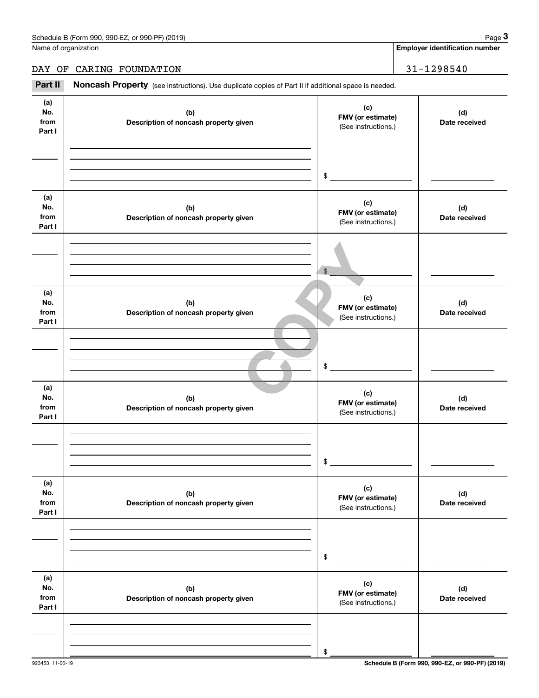**Employer identification number**

## DAY OF CARING FOUNDATION 31-1298540

Chedule B (Form 990, 990-EZ, or 990-PF) (2019)<br> **29 ame of organization**<br> **31 – 1298540**<br> **Part II Roncash Property** (see instructions). Use duplicate copies of Part II if additional space is needed.

| (a)<br>No.<br>from<br>Part I | (b)<br>Description of noncash property given | (c)<br>FMV (or estimate)<br>(See instructions.) | (d)<br>Date received |
|------------------------------|----------------------------------------------|-------------------------------------------------|----------------------|
|                              |                                              | $\frac{1}{2}$                                   |                      |
|                              |                                              |                                                 |                      |
| (a)<br>No.<br>from<br>Part I | (b)<br>Description of noncash property given | (c)<br>FMV (or estimate)<br>(See instructions.) | (d)<br>Date received |
|                              |                                              | $\$\$                                           |                      |
| (a)<br>No.<br>from<br>Part I | (b)<br>Description of noncash property given | (c)<br>FMV (or estimate)<br>(See instructions.) | (d)<br>Date received |
|                              |                                              | $\frac{1}{2}$                                   |                      |
| (a)<br>No.<br>from<br>Part I | (b)<br>Description of noncash property given | (c)<br>FMV (or estimate)<br>(See instructions.) | (d)<br>Date received |
|                              |                                              | $$\mathbb{S}$$                                  |                      |
| (a)<br>No.<br>from<br>Part I | (b)<br>Description of noncash property given | (c)<br>FMV (or estimate)<br>(See instructions.) | (d)<br>Date received |
|                              |                                              | \$                                              |                      |
| (a)<br>No.<br>from<br>Part I | (b)<br>Description of noncash property given | (c)<br>FMV (or estimate)<br>(See instructions.) | (d)<br>Date received |
|                              |                                              | \$                                              |                      |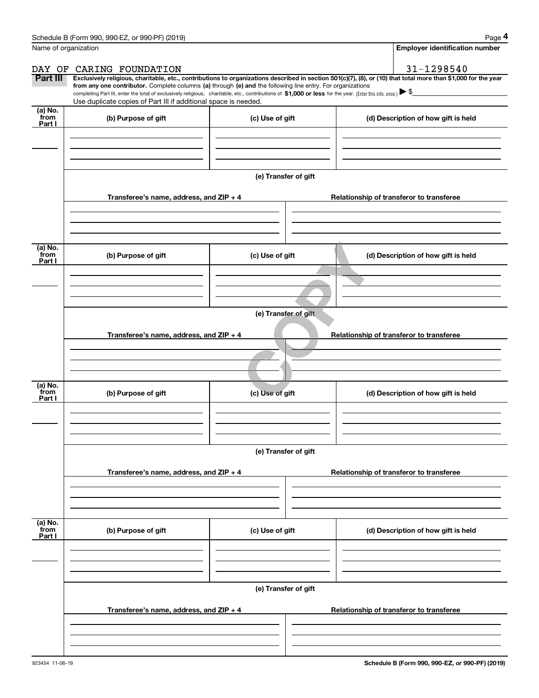|                           | Schedule B (Form 990, 990-EZ, or 990-PF) (2019)                                                                                                                                                                                                                                                 |                                                                                     | Page 4                                                                                                                                                         |  |  |  |  |
|---------------------------|-------------------------------------------------------------------------------------------------------------------------------------------------------------------------------------------------------------------------------------------------------------------------------------------------|-------------------------------------------------------------------------------------|----------------------------------------------------------------------------------------------------------------------------------------------------------------|--|--|--|--|
|                           | Name of organization                                                                                                                                                                                                                                                                            |                                                                                     | <b>Employer identification number</b>                                                                                                                          |  |  |  |  |
|                           | DAY OF CARING FOUNDATION                                                                                                                                                                                                                                                                        |                                                                                     | 31-1298540                                                                                                                                                     |  |  |  |  |
| Part III                  | from any one contributor. Complete columns (a) through (e) and the following line entry. For organizations<br>completing Part III, enter the total of exclusively religious, charitable, etc., contributions of \$1,000 or less for the year. (Enter this info. once.) $\blacktriangleright$ \$ |                                                                                     | Exclusively religious, charitable, etc., contributions to organizations described in section 501(c)(7), (8), or (10) that total more than \$1,000 for the year |  |  |  |  |
|                           | Use duplicate copies of Part III if additional space is needed.                                                                                                                                                                                                                                 |                                                                                     |                                                                                                                                                                |  |  |  |  |
| (a) No.<br>from<br>Part I | (b) Purpose of gift                                                                                                                                                                                                                                                                             | (c) Use of gift                                                                     | (d) Description of how gift is held                                                                                                                            |  |  |  |  |
|                           |                                                                                                                                                                                                                                                                                                 |                                                                                     |                                                                                                                                                                |  |  |  |  |
|                           |                                                                                                                                                                                                                                                                                                 |                                                                                     |                                                                                                                                                                |  |  |  |  |
|                           |                                                                                                                                                                                                                                                                                                 | (e) Transfer of gift                                                                |                                                                                                                                                                |  |  |  |  |
|                           | Transferee's name, address, and ZIP + 4                                                                                                                                                                                                                                                         |                                                                                     | Relationship of transferor to transferee                                                                                                                       |  |  |  |  |
|                           |                                                                                                                                                                                                                                                                                                 |                                                                                     |                                                                                                                                                                |  |  |  |  |
| (a) No.<br>from<br>Part I | (b) Purpose of gift                                                                                                                                                                                                                                                                             | (c) Use of gift                                                                     | (d) Description of how gift is held                                                                                                                            |  |  |  |  |
|                           |                                                                                                                                                                                                                                                                                                 |                                                                                     |                                                                                                                                                                |  |  |  |  |
|                           |                                                                                                                                                                                                                                                                                                 |                                                                                     |                                                                                                                                                                |  |  |  |  |
|                           | (e) Transfer of gift                                                                                                                                                                                                                                                                            |                                                                                     |                                                                                                                                                                |  |  |  |  |
|                           |                                                                                                                                                                                                                                                                                                 | Transferee's name, address, and ZIP + 4<br>Relationship of transferor to transferee |                                                                                                                                                                |  |  |  |  |
|                           |                                                                                                                                                                                                                                                                                                 |                                                                                     |                                                                                                                                                                |  |  |  |  |
|                           |                                                                                                                                                                                                                                                                                                 |                                                                                     |                                                                                                                                                                |  |  |  |  |
| (a) No.<br>from<br>Part I | (b) Purpose of gift                                                                                                                                                                                                                                                                             | (c) Use of gift                                                                     | (d) Description of how gift is held                                                                                                                            |  |  |  |  |
|                           |                                                                                                                                                                                                                                                                                                 |                                                                                     |                                                                                                                                                                |  |  |  |  |
|                           |                                                                                                                                                                                                                                                                                                 | (e) Transfer of gift                                                                |                                                                                                                                                                |  |  |  |  |
|                           |                                                                                                                                                                                                                                                                                                 |                                                                                     |                                                                                                                                                                |  |  |  |  |
|                           | Transferee's name, address, and ZIP + 4                                                                                                                                                                                                                                                         |                                                                                     | Relationship of transferor to transferee                                                                                                                       |  |  |  |  |
|                           |                                                                                                                                                                                                                                                                                                 |                                                                                     |                                                                                                                                                                |  |  |  |  |
| (a) No.<br>from<br>Part I | (b) Purpose of gift                                                                                                                                                                                                                                                                             | (c) Use of gift                                                                     | (d) Description of how gift is held                                                                                                                            |  |  |  |  |
|                           |                                                                                                                                                                                                                                                                                                 |                                                                                     |                                                                                                                                                                |  |  |  |  |
|                           |                                                                                                                                                                                                                                                                                                 |                                                                                     |                                                                                                                                                                |  |  |  |  |
|                           |                                                                                                                                                                                                                                                                                                 | (e) Transfer of gift                                                                |                                                                                                                                                                |  |  |  |  |
|                           | Transferee's name, address, and $ZIP + 4$                                                                                                                                                                                                                                                       |                                                                                     | Relationship of transferor to transferee                                                                                                                       |  |  |  |  |
|                           |                                                                                                                                                                                                                                                                                                 |                                                                                     |                                                                                                                                                                |  |  |  |  |
|                           |                                                                                                                                                                                                                                                                                                 |                                                                                     |                                                                                                                                                                |  |  |  |  |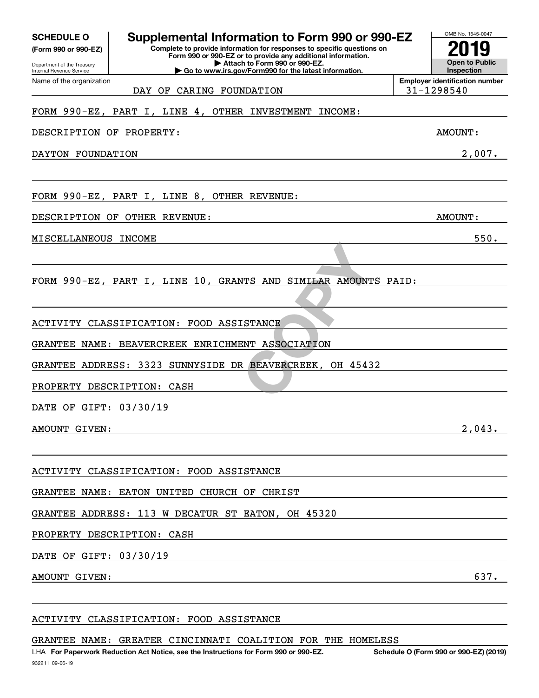| <b>SCHEDULE O</b>                                      | Supplemental Information to Form 990 or 990-EZ                                                                                         | OMB No. 1545-0047                                   |
|--------------------------------------------------------|----------------------------------------------------------------------------------------------------------------------------------------|-----------------------------------------------------|
| (Form 990 or 990-EZ)                                   | Complete to provide information for responses to specific questions on<br>Form 990 or 990-EZ or to provide any additional information. |                                                     |
| Department of the Treasury<br>Internal Revenue Service | Attach to Form 990 or 990-EZ.<br>$\blacktriangleright$ Go to www.irs.gov/Form990 for the latest information.                           | <b>Open to Public</b><br>Inspection                 |
| Name of the organization                               | CARING FOUNDATION<br>DAY OF                                                                                                            | <b>Employer identification number</b><br>31-1298540 |
|                                                        | FORM 990-EZ, PART I, LINE 4,<br>OTHER INVESTMENT<br>INCOME:                                                                            |                                                     |
| DESCRIPTION OF                                         | PROPERTY:                                                                                                                              | AMOUNT:                                             |
| DAYTON FOUNDATION                                      |                                                                                                                                        | 2,007.                                              |
|                                                        |                                                                                                                                        |                                                     |
|                                                        | FORM 990-EZ, PART I, LINE 8, OTHER REVENUE:                                                                                            |                                                     |
| DESCRIPTION OF                                         | OTHER REVENUE:                                                                                                                         | <b>AMOUNT:</b>                                      |
| MISCELLANEOUS                                          | <b>INCOME</b>                                                                                                                          | 550.                                                |
|                                                        |                                                                                                                                        |                                                     |
|                                                        | FORM 990-EZ, PART I, LINE 10, GRANTS AND SIMILAR AMOUNTS PAID:                                                                         |                                                     |
|                                                        |                                                                                                                                        |                                                     |
| ACTIVITY                                               | CLASSIFICATION: FOOD ASSISTANCE                                                                                                        |                                                     |
| GRANTEE<br><b>NAME :</b>                               | BEAVERCREEK ENRICHMENT<br>ASSOCIATION                                                                                                  |                                                     |
| GRANTEE<br>ADDRESS:                                    | SUNNYSIDE DR BEAVERCREEK,<br>3323<br>OH 45432                                                                                          |                                                     |
|                                                        | PROPERTY DESCRIPTION: CASH                                                                                                             |                                                     |
| DATE OF GIFT: 03/30/19                                 |                                                                                                                                        |                                                     |
| AMOUNT GIVEN:                                          |                                                                                                                                        | 2,043.                                              |
|                                                        |                                                                                                                                        |                                                     |
|                                                        | ACTIVITY CLASSIFICATION: FOOD ASSISTANCE                                                                                               |                                                     |
|                                                        | GRANTEE NAME: EATON UNITED CHURCH OF CHRIST                                                                                            |                                                     |
|                                                        | GRANTEE ADDRESS: 113 W DECATUR ST EATON, OH 45320                                                                                      |                                                     |
|                                                        | PROPERTY DESCRIPTION: CASH<br>the contract of the contract of the contract of the contract of the contract of the contract of          |                                                     |
| DATE OF GIFT: 03/30/19                                 | <u> 1989 - Johann Stoff, deutscher Stoffen und der Stoffen und der Stoffen und der Stoffen und der Stoffen und der</u>                 |                                                     |
| AMOUNT GIVEN:                                          | and the control of the control of the control of the control of the control of the control of the control of the                       | 637.                                                |
|                                                        |                                                                                                                                        |                                                     |
|                                                        | ACTIVITY CLASSIFICATION: FOOD ASSISTANCE                                                                                               |                                                     |

GRANTEE NAME: GREATER CINCINNATI COALITION FOR THE HOMELESS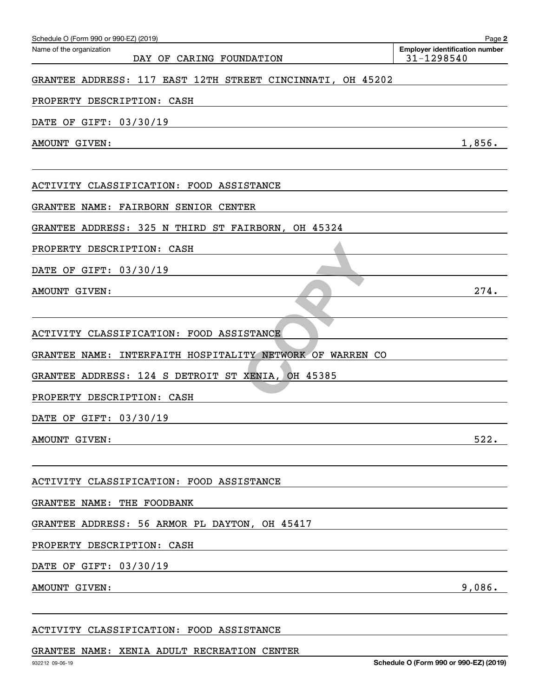| Schedule O (Form 990 or 990-EZ) (2019)<br>Name of the organization                                                                                                                                                                                          | Page 2<br><b>Employer identification number</b> |
|-------------------------------------------------------------------------------------------------------------------------------------------------------------------------------------------------------------------------------------------------------------|-------------------------------------------------|
| DAY OF CARING FOUNDATION                                                                                                                                                                                                                                    | 31-1298540                                      |
| GRANTEE ADDRESS: 117 EAST 12TH STREET CINCINNATI, OH 45202                                                                                                                                                                                                  |                                                 |
| PROPERTY DESCRIPTION: CASH                                                                                                                                                                                                                                  |                                                 |
| DATE OF GIFT: 03/30/19                                                                                                                                                                                                                                      |                                                 |
| AMOUNT GIVEN:                                                                                                                                                                                                                                               | 1,856.                                          |
|                                                                                                                                                                                                                                                             |                                                 |
| ACTIVITY CLASSIFICATION: FOOD ASSISTANCE                                                                                                                                                                                                                    |                                                 |
| GRANTEE NAME: FAIRBORN SENIOR CENTER                                                                                                                                                                                                                        |                                                 |
| GRANTEE ADDRESS: 325 N THIRD ST FAIRBORN, OH 45324                                                                                                                                                                                                          |                                                 |
| PROPERTY DESCRIPTION: CASH                                                                                                                                                                                                                                  |                                                 |
| DATE OF GIFT: 03/30/19                                                                                                                                                                                                                                      |                                                 |
| AMOUNT GIVEN:                                                                                                                                                                                                                                               | 274.                                            |
|                                                                                                                                                                                                                                                             |                                                 |
| ACTIVITY CLASSIFICATION: FOOD ASSISTANCE                                                                                                                                                                                                                    |                                                 |
| GRANTEE NAME: INTERFAITH HOSPITALITY NETWORK OF WARREN CO                                                                                                                                                                                                   |                                                 |
| GRANTEE ADDRESS: 124 S DETROIT ST XENIA, OH 45385                                                                                                                                                                                                           |                                                 |
| PROPERTY DESCRIPTION: CASH                                                                                                                                                                                                                                  |                                                 |
| DATE OF GIFT: 03/30/19                                                                                                                                                                                                                                      |                                                 |
| AMOUNT GIVEN:<br><u> 1980 - Johann Harry Barn, mars ar breist fan de Amerikaansk kommunent fan de Amerikaansk kommunent fan de Am</u>                                                                                                                       | 522.                                            |
|                                                                                                                                                                                                                                                             |                                                 |
| ACTIVITY CLASSIFICATION: FOOD ASSISTANCE                                                                                                                                                                                                                    |                                                 |
| GRANTEE NAME: THE FOODBANK<br>the control of the control of the control of the control of the control of the control of the control of the control of the control of the control of the control of the control of the control of the control of the control |                                                 |
| GRANTEE ADDRESS: 56 ARMOR PL DAYTON, OH 45417                                                                                                                                                                                                               |                                                 |
| PROPERTY DESCRIPTION: CASH<br><u> 1989 - Johann Stoff, Amerikaansk politiker († 1908)</u>                                                                                                                                                                   |                                                 |
| DATE OF GIFT: 03/30/19<br><u> 1989 - Johann Barn, amerikansk politiker (d. 1989)</u>                                                                                                                                                                        |                                                 |
| AMOUNT GIVEN:<br>and the control of the control of the control of the control of the control of the control of the control of the                                                                                                                           | 9,086.                                          |
|                                                                                                                                                                                                                                                             |                                                 |

## GRANTEE NAME: XENIA ADULT RECREATION CENTER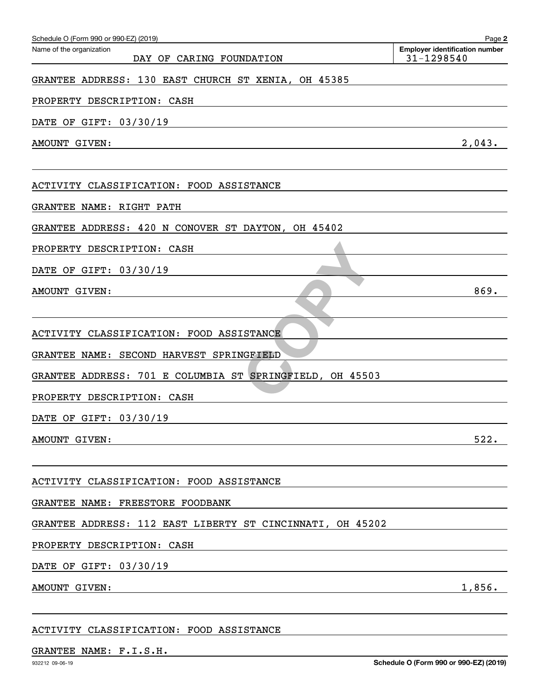| Schedule O (Form 990 or 990-EZ) (2019)                                                                                                                                                                                                                  | Page 2                                                                                                                                                                                                                        |
|---------------------------------------------------------------------------------------------------------------------------------------------------------------------------------------------------------------------------------------------------------|-------------------------------------------------------------------------------------------------------------------------------------------------------------------------------------------------------------------------------|
| Name of the organization<br>CARING FOUNDATION<br>DAY OF                                                                                                                                                                                                 | <b>Employer identification number</b><br>31-1298540                                                                                                                                                                           |
| GRANTEE ADDRESS: 130 EAST CHURCH ST XENIA, OH 45385                                                                                                                                                                                                     |                                                                                                                                                                                                                               |
| PROPERTY DESCRIPTION: CASH                                                                                                                                                                                                                              |                                                                                                                                                                                                                               |
| OF GIFT: 03/30/19<br>DATE                                                                                                                                                                                                                               |                                                                                                                                                                                                                               |
| AMOUNT GIVEN:                                                                                                                                                                                                                                           | 2,043.                                                                                                                                                                                                                        |
| ACTIVITY CLASSIFICATION: FOOD ASSISTANCE                                                                                                                                                                                                                |                                                                                                                                                                                                                               |
| GRANTEE NAME: RIGHT PATH                                                                                                                                                                                                                                |                                                                                                                                                                                                                               |
| GRANTEE ADDRESS: 420 N CONOVER ST DAYTON, OH 45402                                                                                                                                                                                                      |                                                                                                                                                                                                                               |
| PROPERTY DESCRIPTION: CASH                                                                                                                                                                                                                              |                                                                                                                                                                                                                               |
| DATE<br>OF GIFT: 03/30/19                                                                                                                                                                                                                               |                                                                                                                                                                                                                               |
| AMOUNT GIVEN:                                                                                                                                                                                                                                           | 869.                                                                                                                                                                                                                          |
| ACTIVITY CLASSIFICATION: FOOD ASSISTANCE                                                                                                                                                                                                                |                                                                                                                                                                                                                               |
| SECOND HARVEST SPRINGFIELD<br>GRANTEE NAME:                                                                                                                                                                                                             |                                                                                                                                                                                                                               |
| GRANTEE ADDRESS: 701 E COLUMBIA ST SPRINGFIELD, OH 45503                                                                                                                                                                                                |                                                                                                                                                                                                                               |
| PROPERTY DESCRIPTION: CASH                                                                                                                                                                                                                              |                                                                                                                                                                                                                               |
| DATE OF GIFT: 03/30/19                                                                                                                                                                                                                                  |                                                                                                                                                                                                                               |
| AMOUNT GIVEN:                                                                                                                                                                                                                                           | 522.                                                                                                                                                                                                                          |
| ACTIVITY CLASSIFICATION: FOOD ASSISTANCE                                                                                                                                                                                                                |                                                                                                                                                                                                                               |
| GRANTEE NAME: FREESTORE FOODBANK                                                                                                                                                                                                                        | the control of the control of the control of the control of the control of the control of the control of the control of the control of the control of the control of the control of the control of the control of the control |
| GRANTEE ADDRESS: 112 EAST LIBERTY ST CINCINNATI, OH 45202                                                                                                                                                                                               |                                                                                                                                                                                                                               |
| PROPERTY DESCRIPTION: CASH<br><u> 1989 - Andrea Andrew Maria (h. 1989).</u>                                                                                                                                                                             |                                                                                                                                                                                                                               |
| DATE OF GIFT: 03/30/19<br>the control of the control of the control of the control of the control of the control of the control of the control of the control of the control of the control of the control of the control of the control of the control |                                                                                                                                                                                                                               |
| AMOUNT GIVEN:<br>the control of the control of the control of the control of the control of the control of the control of the control of the control of the control of the control of the control of the control of the control of the control          | 1,856.                                                                                                                                                                                                                        |
|                                                                                                                                                                                                                                                         |                                                                                                                                                                                                                               |

ACTIVITY CLASSIFICATION: FOOD ASSISTANCE

## GRANTEE NAME: F.I.S.H.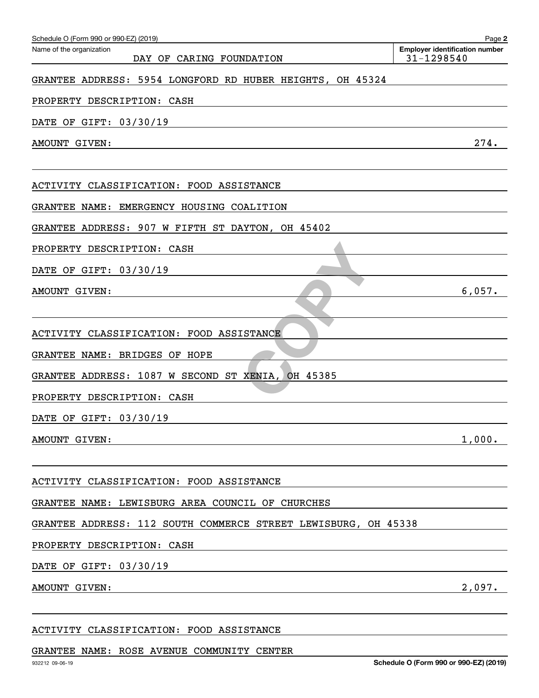| Schedule O (Form 990 or 990-EZ) (2019)<br>Name of the organization                                                                                  | Page 2<br><b>Employer identification number</b> |
|-----------------------------------------------------------------------------------------------------------------------------------------------------|-------------------------------------------------|
| DAY OF CARING FOUNDATION                                                                                                                            | 31-1298540                                      |
| GRANTEE ADDRESS: 5954 LONGFORD RD HUBER HEIGHTS, OH 45324                                                                                           |                                                 |
| PROPERTY DESCRIPTION: CASH                                                                                                                          |                                                 |
| DATE OF GIFT: 03/30/19                                                                                                                              |                                                 |
| AMOUNT GIVEN:                                                                                                                                       | 274.                                            |
|                                                                                                                                                     |                                                 |
| ACTIVITY CLASSIFICATION: FOOD ASSISTANCE                                                                                                            |                                                 |
| GRANTEE NAME: EMERGENCY HOUSING COALITION                                                                                                           |                                                 |
| GRANTEE ADDRESS: 907 W FIFTH ST DAYTON, OH 45402                                                                                                    |                                                 |
| PROPERTY DESCRIPTION: CASH                                                                                                                          |                                                 |
| DATE OF GIFT: 03/30/19                                                                                                                              |                                                 |
| AMOUNT GIVEN:                                                                                                                                       | 6,057.                                          |
|                                                                                                                                                     |                                                 |
| ACTIVITY CLASSIFICATION: FOOD ASSISTANCE                                                                                                            |                                                 |
| GRANTEE NAME: BRIDGES OF HOPE                                                                                                                       |                                                 |
| GRANTEE ADDRESS: 1087 W SECOND ST XENIA, OH 45385                                                                                                   |                                                 |
| PROPERTY DESCRIPTION: CASH                                                                                                                          |                                                 |
| DATE OF GIFT: 03/30/19                                                                                                                              |                                                 |
| AMOUNT GIVEN:                                                                                                                                       | 1,000.                                          |
|                                                                                                                                                     |                                                 |
| ACTIVITY CLASSIFICATION: FOOD ASSISTANCE                                                                                                            |                                                 |
| GRANTEE NAME: LEWISBURG AREA COUNCIL OF CHURCHES                                                                                                    |                                                 |
| GRANTEE ADDRESS: 112 SOUTH COMMERCE STREET LEWISBURG, OH 45338                                                                                      |                                                 |
| PROPERTY DESCRIPTION: CASH<br><u> 1989 - Johann Stoff, deutscher Stoffen und der Stoffen und der Stoffen und der Stoffen und der Stoffen und de</u> |                                                 |
| DATE OF GIFT: 03/30/19<br><u> 1989 - Johann Stein, mars an deus Amerikaansk kommunister (* 1958)</u>                                                |                                                 |
| AMOUNT GIVEN:<br><u> 1989 - Johann Stoff, deutscher Stoffen und der Stoffen und der Stoffen und der Stoffen und der Stoffen und der</u>             | 2,097.                                          |
|                                                                                                                                                     |                                                 |

## ACTIVITY CLASSIFICATION: FOOD ASSISTANCE

## GRANTEE NAME: ROSE AVENUE COMMUNITY CENTER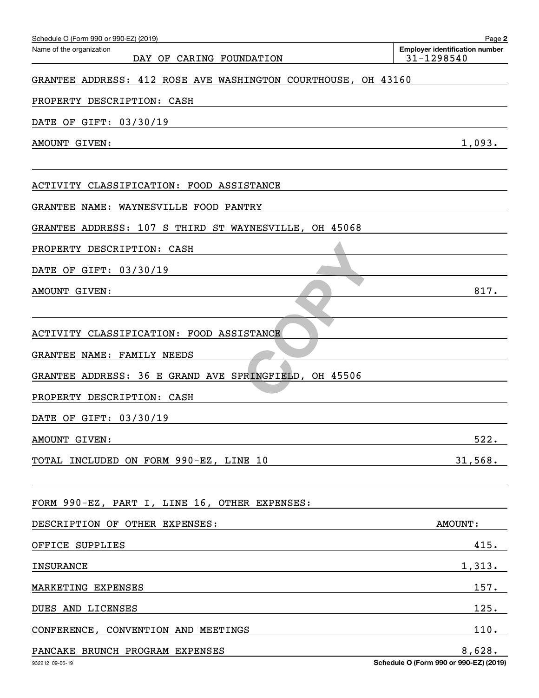| Schedule O (Form 990 or 990-EZ) (2019)<br>Name of the organization | Page 2<br><b>Employer identification number</b>  |
|--------------------------------------------------------------------|--------------------------------------------------|
| DAY OF CARING FOUNDATION                                           | 31-1298540                                       |
| GRANTEE ADDRESS: 412 ROSE AVE WASHINGTON COURTHOUSE, OH 43160      |                                                  |
| PROPERTY DESCRIPTION: CASH                                         |                                                  |
| DATE OF GIFT: 03/30/19                                             |                                                  |
| AMOUNT GIVEN:                                                      | 1,093.                                           |
| ACTIVITY CLASSIFICATION: FOOD ASSISTANCE                           |                                                  |
| GRANTEE NAME: WAYNESVILLE FOOD PANTRY                              |                                                  |
| GRANTEE ADDRESS: 107 S THIRD ST WAYNESVILLE, OH 45068              |                                                  |
| PROPERTY DESCRIPTION: CASH                                         |                                                  |
| DATE OF GIFT: 03/30/19                                             |                                                  |
| AMOUNT GIVEN:                                                      | 817.                                             |
| ACTIVITY CLASSIFICATION: FOOD ASSISTANCE                           |                                                  |
| GRANTEE NAME: FAMILY NEEDS                                         |                                                  |
| GRANTEE ADDRESS: 36 E GRAND AVE SPRINGFIELD, OH 45506              |                                                  |
| PROPERTY DESCRIPTION: CASH                                         |                                                  |
| DATE OF GIFT: 03/30/19                                             |                                                  |
| AMOUNT GIVEN:                                                      | 522.                                             |
| TOTAL INCLUDED ON FORM 990-EZ, LINE 10                             | 31,568.                                          |
| FORM 990-EZ, PART I, LINE 16, OTHER EXPENSES:                      |                                                  |
| DESCRIPTION OF OTHER EXPENSES:                                     | <b>AMOUNT:</b>                                   |
| OFFICE SUPPLIES                                                    | 415.                                             |
| <b>INSURANCE</b>                                                   | 1,313.                                           |
| MARKETING EXPENSES                                                 | 157.                                             |
| DUES AND LICENSES                                                  | 125.                                             |
| CONFERENCE, CONVENTION AND MEETINGS                                | 110.                                             |
| PANCAKE BRUNCH PROGRAM EXPENSES<br>932212 09-06-19                 | 8,628.<br>Schedule O (Form 990 or 990-EZ) (2019) |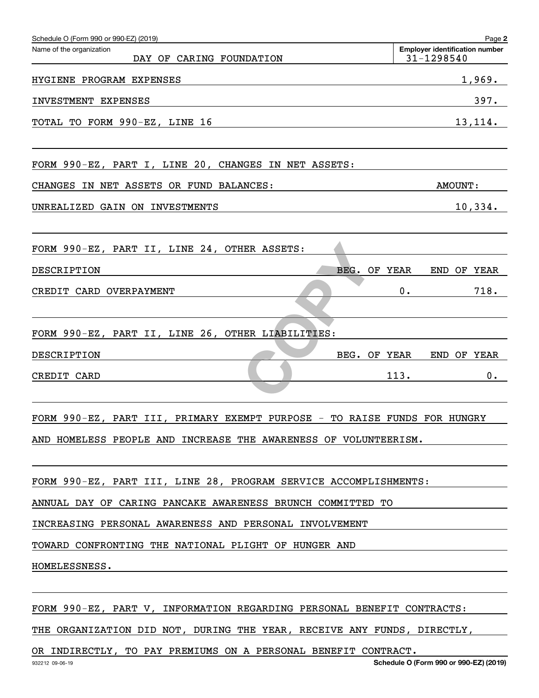| Schedule O (Form 990 or 990-EZ) (2019)                                    | Page 2                                              |
|---------------------------------------------------------------------------|-----------------------------------------------------|
| Name of the organization<br>DAY OF CARING FOUNDATION                      | <b>Employer identification number</b><br>31-1298540 |
| HYGIENE PROGRAM EXPENSES                                                  | 1,969.                                              |
| INVESTMENT EXPENSES                                                       | 397.                                                |
| TOTAL TO FORM 990-EZ, LINE 16                                             | 13, 114.                                            |
| FORM 990-EZ, PART I, LINE 20, CHANGES IN NET ASSETS:                      |                                                     |
| CHANGES IN NET ASSETS OR FUND BALANCES:                                   | <b>AMOUNT:</b>                                      |
| UNREALIZED GAIN ON INVESTMENTS                                            | 10,334.                                             |
| FORM 990-EZ, PART II, LINE 24, OTHER ASSETS:                              |                                                     |
| DESCRIPTION<br>BEG.<br>OF YEAR                                            | END OF YEAR                                         |
| CREDIT CARD OVERPAYMENT                                                   | 718.<br>0.                                          |
| FORM 990-EZ, PART II, LINE 26, OTHER LIABILITIES:                         |                                                     |
| DESCRIPTION<br>BEG. OF YEAR                                               | END OF YEAR                                         |
| CREDIT CARD                                                               | 113.<br>$0$ .                                       |
| FORM 990-EZ, PART III, PRIMARY EXEMPT PURPOSE - TO RAISE FUNDS FOR HUNGRY |                                                     |
| AND HOMELESS PEOPLE AND INCREASE THE AWARENESS OF VOLUNTEERISM.           |                                                     |
| FORM 990-EZ, PART III, LINE 28, PROGRAM SERVICE ACCOMPLISHMENTS:          |                                                     |
| ANNUAL DAY OF CARING PANCAKE AWARENESS BRUNCH COMMITTED TO                |                                                     |
| INCREASING PERSONAL AWARENESS AND PERSONAL INVOLVEMENT                    |                                                     |
| TOWARD CONFRONTING THE NATIONAL PLIGHT OF HUNGER AND                      |                                                     |
| HOMELESSNESS.                                                             |                                                     |
|                                                                           |                                                     |
| FORM 990-EZ, PART V, INFORMATION REGARDING PERSONAL BENEFIT CONTRACTS:    |                                                     |
| THE ORGANIZATION DID NOT, DURING THE YEAR, RECEIVE ANY FUNDS, DIRECTLY,   |                                                     |

OR INDIRECTLY, TO PAY PREMIUMS ON A PERSONAL BENEFIT CONTRACT.